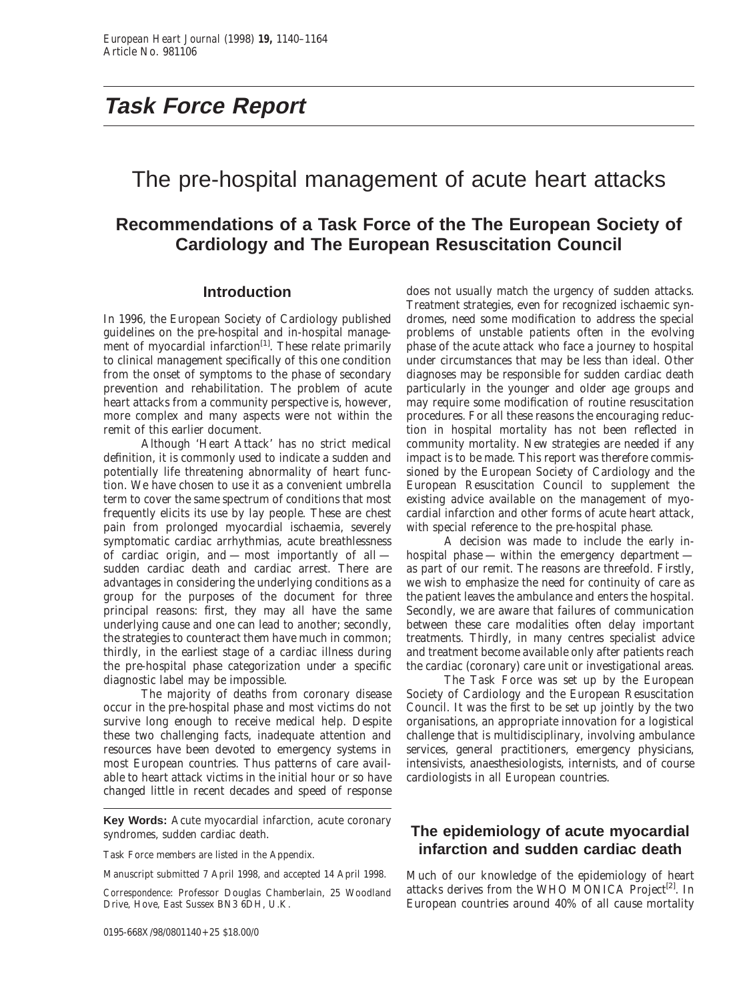# The pre-hospital management of acute heart attacks

# **Recommendations of a Task Force of the The European Society of Cardiology and The European Resuscitation Council**

### **Introduction**

In 1996, the European Society of Cardiology published guidelines on the pre-hospital and in-hospital management of myocardial infarction $\left[1\right]$ . These relate primarily to clinical management specifically of this one condition from the onset of symptoms to the phase of secondary prevention and rehabilitation. The problem of acute heart attacks from a community perspective is, however, more complex and many aspects were not within the remit of this earlier document.

Although 'Heart Attack' has no strict medical definition, it is commonly used to indicate a sudden and potentially life threatening abnormality of heart function. We have chosen to use it as a convenient umbrella term to cover the same spectrum of conditions that most frequently elicits its use by lay people. These are chest pain from prolonged myocardial ischaemia, severely symptomatic cardiac arrhythmias, acute breathlessness of cardiac origin, and — most importantly of all sudden cardiac death and cardiac arrest. There are advantages in considering the underlying conditions as a group for the purposes of the document for three principal reasons: first, they may all have the same underlying cause and one can lead to another; secondly, the strategies to counteract them have much in common; thirdly, in the earliest stage of a cardiac illness during the pre-hospital phase categorization under a specific diagnostic label may be impossible.

The majority of deaths from coronary disease occur in the pre-hospital phase and most victims do not survive long enough to receive medical help. Despite these two challenging facts, inadequate attention and resources have been devoted to emergency systems in most European countries. Thus patterns of care available to heart attack victims in the initial hour or so have changed little in recent decades and speed of response

**Key Words:** Acute myocardial infarction, acute coronary syndromes, sudden cardiac death.

Task Force members are listed in the Appendix.

Manuscript submitted 7 April 1998, and accepted 14 April 1998.

*Correspondence*: Professor Douglas Chamberlain, 25 Woodland Drive, Hove, East Sussex BN3 6DH, U.K.

does not usually match the urgency of sudden attacks. Treatment strategies, even for recognized ischaemic syndromes, need some modification to address the special problems of unstable patients often in the evolving phase of the acute attack who face a journey to hospital under circumstances that may be less than ideal. Other diagnoses may be responsible for sudden cardiac death particularly in the younger and older age groups and may require some modification of routine resuscitation procedures. For all these reasons the encouraging reduction in hospital mortality has not been reflected in community mortality. New strategies are needed if any impact is to be made. This report was therefore commissioned by the European Society of Cardiology and the European Resuscitation Council to supplement the existing advice available on the management of myocardial infarction and other forms of acute heart attack, with special reference to the pre-hospital phase.

A decision was made to include the early inhospital phase — within the emergency department as part of our remit. The reasons are threefold. Firstly, we wish to emphasize the need for continuity of care as the patient leaves the ambulance and enters the hospital. Secondly, we are aware that failures of communication between these care modalities often delay important treatments. Thirdly, in many centres specialist advice and treatment become available only after patients reach the cardiac (coronary) care unit or investigational areas.

The Task Force was set up by the European Society of Cardiology and the European Resuscitation Council. It was the first to be set up jointly by the two organisations, an appropriate innovation for a logistical challenge that is multidisciplinary, involving ambulance services, general practitioners, emergency physicians, intensivists, anaesthesiologists, internists, and of course cardiologists in all European countries.

## **The epidemiology of acute myocardial infarction and sudden cardiac death**

Much of our knowledge of the epidemiology of heart attacks derives from the WHO MONICA Project $^{[2]}$ . In European countries around 40% of all cause mortality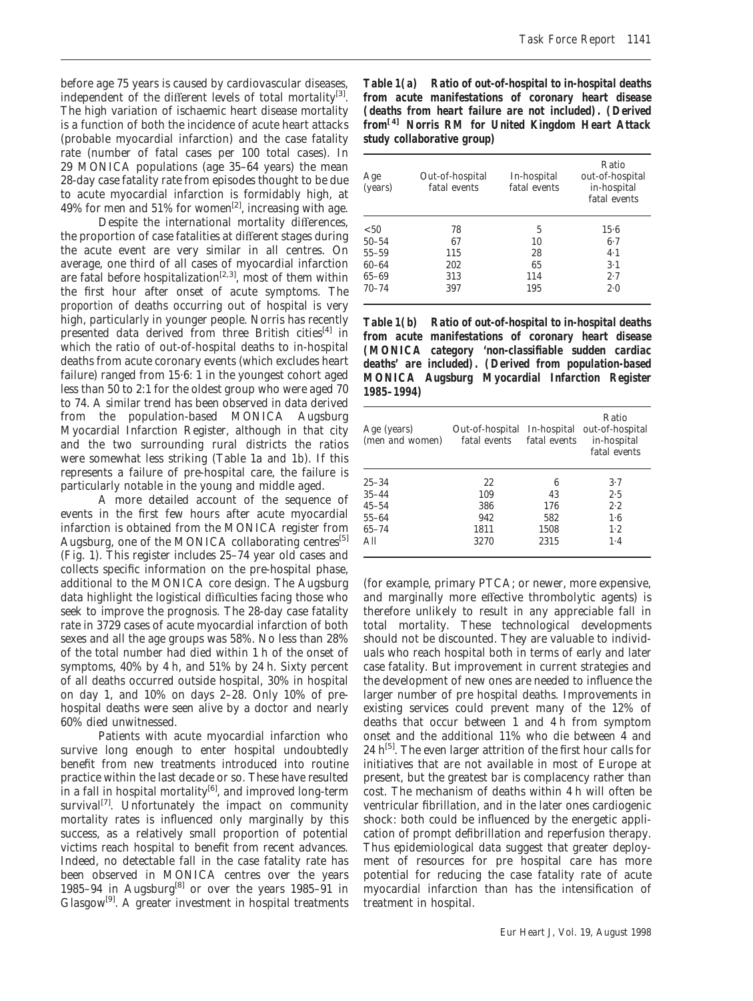before age 75 years is caused by cardiovascular diseases, independent of the different levels of total mortality<sup>[3]</sup>. The high variation of ischaemic heart disease mortality is a function of both the incidence of acute heart attacks (probable myocardial infarction) and the case fatality rate (number of fatal cases per 100 total cases). In 29 MONICA populations (age 35–64 years) the mean 28-day case fatality rate from episodes thought to be due to acute myocardial infarction is formidably high, at 49% for men and 51% for women<sup>[2]</sup>, increasing with age.

Despite the international mortality differences, the proportion of case fatalities at different stages during the acute event are very similar in all centres. On average, one third of all cases of myocardial infarction are fatal before hospitalization<sup>[2,3]</sup>, most of them within the first hour after onset of acute symptoms. The *proportion* of deaths occurring out of hospital is very high, particularly in younger people. Norris has recently presented data derived from three British cities<sup>[4]</sup> in which the ratio of out-of-hospital deaths to in-hospital deaths from acute coronary events (which excludes heart failure) ranged from 15·6: 1 in the youngest cohort aged less than 50 to 2:1 for the oldest group who were aged 70 to 74. A similar trend has been observed in data derived from the population-based MONICA Augsburg Myocardial Infarction Register, although in that city and the two surrounding rural districts the ratios were somewhat less striking (Table 1a and 1b). If this represents a failure of pre-hospital care, the failure is particularly notable in the young and middle aged.

A more detailed account of the sequence of events in the first few hours after acute myocardial infarction is obtained from the MONICA register from Augsburg, one of the MONICA collaborating centres<sup>[5]</sup> (Fig. 1). This register includes 25–74 year old cases and collects specific information on the pre-hospital phase, additional to the MONICA core design. The Augsburg data highlight the logistical difficulties facing those who seek to improve the prognosis. The 28-day case fatality rate in 3729 cases of acute myocardial infarction of both sexes and all the age groups was 58%. No less than 28% of the total number had died within 1 h of the onset of symptoms, 40% by 4 h, and 51% by 24 h. Sixty percent of all deaths occurred outside hospital, 30% in hospital on day 1, and 10% on days 2–28. Only 10% of prehospital deaths were seen alive by a doctor and nearly 60% died unwitnessed.

Patients with acute myocardial infarction who survive long enough to enter hospital undoubtedly benefit from new treatments introduced into routine practice within the last decade or so. These have resulted in a fall in hospital mortality<sup>[6]</sup>, and improved long-term survival $^{[7]}$ . Unfortunately the impact on community mortality rates is influenced only marginally by this success, as a relatively small proportion of potential victims reach hospital to benefit from recent advances. Indeed, no detectable fall in the case fatality rate has been observed in MONICA centres over the years 1985–94 in Augsburg<sup>[8]</sup> or over the years 1985–91 in Glasgow<sup>[9]</sup>. A greater investment in hospital treatments

*Table 1(a) Ratio of out-of-hospital to in-hospital deaths from acute manifestations of coronary heart disease (deaths from heart failure are not included). (Derived from[4] Norris RM for United Kingdom Heart Attack study collaborative group)*

| Age<br>(years) | Out-of-hospital<br>fatal events | In-hospital<br>fatal events | Ratio<br>out-of-hospital<br>in-hospital<br>fatal events |
|----------------|---------------------------------|-----------------------------|---------------------------------------------------------|
| < 50           | 78                              | 5                           | $15-6$                                                  |
| $50 - 54$      | 67                              | 10                          | 6.7                                                     |
| $55 - 59$      | 115                             | 28                          | 4.1                                                     |
| $60 - 64$      | 202                             | 65                          | $3-1$                                                   |
| $65 - 69$      | 313                             | 114                         | 2.7                                                     |
| $70 - 74$      | 397                             | 195                         | 2.0                                                     |

*Table 1(b) Ratio of out-of-hospital to in-hospital deaths from acute manifestations of coronary heart disease (MONICA category 'non-classifiable sudden cardiac deaths' are included). (Derived from population-based MONICA Augsburg Myocardial Infarction Register 1985–1994)*

| Age (years)<br>(men and women) | Out-of-hospital In-hospital<br>fatal events | fatal events | Ratio<br>out-of-hospital<br>in-hospital<br>fatal events |
|--------------------------------|---------------------------------------------|--------------|---------------------------------------------------------|
| $25 - 34$                      | 22                                          | 6            | 3.7                                                     |
| $35 - 44$                      | 109                                         | 43           | 2.5                                                     |
| $45 - 54$                      | 386                                         | 176          | 2.2                                                     |
| $55 - 64$                      | 942                                         | 582          | 1·6                                                     |
| $65 - 74$                      | 1811                                        | 1508         | 1.2                                                     |
| All                            | 3270                                        | 2315         | 1.4                                                     |

(for example, primary PTCA; or newer, more expensive, and marginally more effective thrombolytic agents) is therefore unlikely to result in any appreciable fall in total mortality. These technological developments should not be discounted. They are valuable to individuals who reach hospital both in terms of early and later case fatality. But improvement in current strategies and the development of new ones are needed to influence the larger number of pre hospital deaths. Improvements in existing services could prevent many of the 12% of deaths that occur between 1 and 4 h from symptom onset and the additional 11% who die between 4 and 24  $h^{[5]}$ . The even larger attrition of the first hour calls for initiatives that are not available in most of Europe at present, but the greatest bar is complacency rather than cost. The mechanism of deaths within 4 h will often be ventricular fibrillation, and in the later ones cardiogenic shock: both could be influenced by the energetic application of prompt defibrillation and reperfusion therapy. Thus epidemiological data suggest that greater deployment of resources for pre hospital care has more potential for reducing the case fatality rate of acute myocardial infarction than has the intensification of treatment in hospital.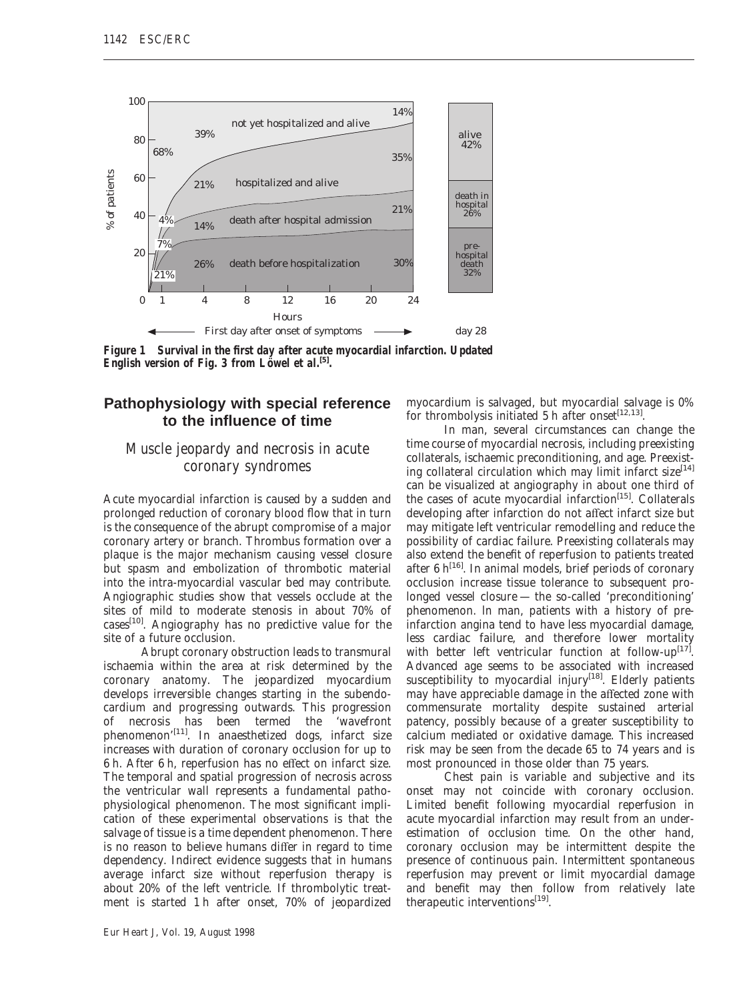

*Figure 1* **Survival in the first day after acute myocardial infarction. Updated** English version of Fig. 3 from Löwel *et al.*<sup>[5]</sup>.

### **Pathophysiology with special reference to the influence of time**

# *Muscle jeopardy and necrosis in acute coronary syndromes*

Acute myocardial infarction is caused by a sudden and prolonged reduction of coronary blood flow that in turn is the consequence of the abrupt compromise of a major coronary artery or branch. Thrombus formation over a plaque is the major mechanism causing vessel closure but spasm and embolization of thrombotic material into the intra-myocardial vascular bed may contribute. Angiographic studies show that vessels occlude at the sites of mild to moderate stenosis in about 70% of cases[10]. Angiography has no predictive value for the site of a future occlusion.

Abrupt coronary obstruction leads to transmural ischaemia within the area at risk determined by the coronary anatomy. The jeopardized myocardium develops irreversible changes starting in the subendocardium and progressing outwards. This progression of necrosis has been termed the 'wavefront phenomenon'<sup>[11]</sup>. In anaesthetized dogs, infarct size increases with duration of coronary occlusion for up to 6 h. After 6 h, reperfusion has no effect on infarct size. The temporal and spatial progression of necrosis across the ventricular wall represents a fundamental pathophysiological phenomenon. The most significant implication of these experimental observations is that the salvage of tissue is a time dependent phenomenon. There is no reason to believe humans differ in regard to time dependency. Indirect evidence suggests that in humans average infarct size without reperfusion therapy is about 20% of the left ventricle. If thrombolytic treatment is started 1 h after onset, 70% of jeopardized

myocardium is salvaged, but myocardial salvage is 0% for thrombolysis initiated 5 h after onset  $[12, 13]$ .

In man, several circumstances can change the time course of myocardial necrosis, including preexisting collaterals, ischaemic preconditioning, and age. Preexisting collateral circulation which may limit infarct size<sup>[14]</sup> can be visualized at angiography in about one third of the cases of acute myocardial infarction $[15]$ . Collaterals developing after infarction do not affect infarct size but may mitigate left ventricular remodelling and reduce the possibility of cardiac failure. Preexisting collaterals may also extend the benefit of reperfusion to patients treated after  $6 h^{[16]}$ . In animal models, brief periods of coronary occlusion increase tissue tolerance to subsequent prolonged vessel closure — the so-called 'preconditioning' phenomenon. ln man, patients with a history of preinfarction angina tend to have less myocardial damage, less cardiac failure, and therefore lower mortality with better left ventricular function at follow-up<sup>[17]</sup>. Advanced age seems to be associated with increased susceptibility to myocardial injury<sup>[18]</sup>. Elderly patients may have appreciable damage in the affected zone with commensurate mortality despite sustained arterial patency, possibly because of a greater susceptibility to calcium mediated or oxidative damage. This increased risk may be seen from the decade 65 to 74 years and is most pronounced in those older than 75 years.

Chest pain is variable and subjective and its onset may not coincide with coronary occlusion. Limited benefit following myocardial reperfusion in acute myocardial infarction may result from an underestimation of occlusion time. On the other hand, coronary occlusion may be intermittent despite the presence of continuous pain. Intermittent spontaneous reperfusion may prevent or limit myocardial damage and benefit may then follow from relatively late therapeutic interventions $^{[19]}$ .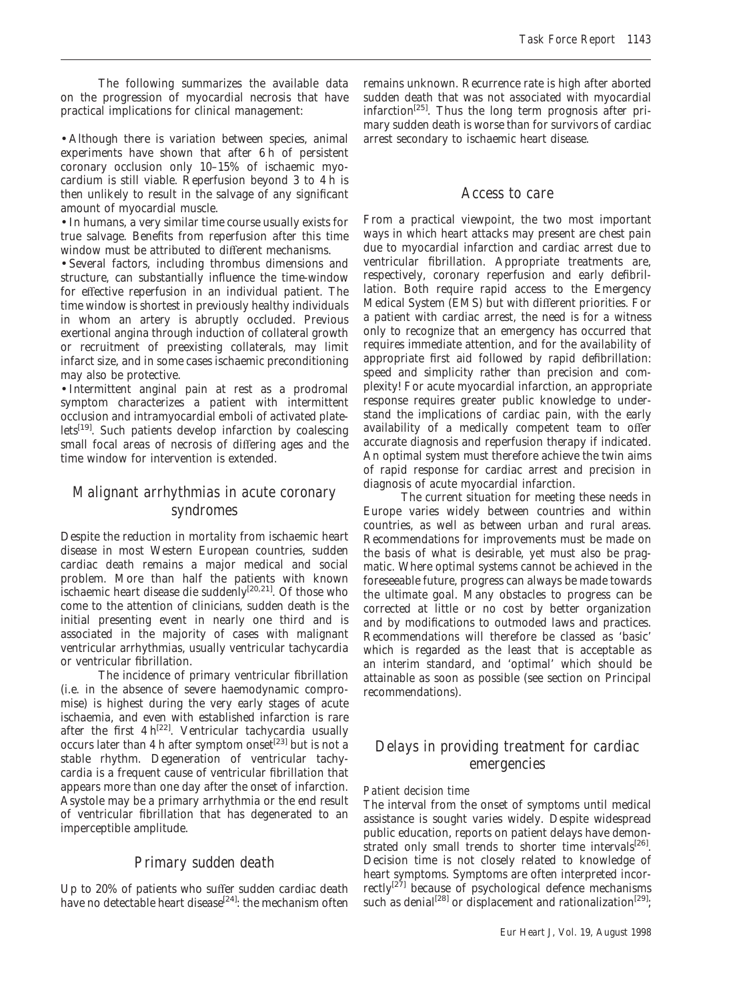The following summarizes the available data on the progression of myocardial necrosis that have practical implications for clinical management:

• Although there is variation between species, animal experiments have shown that after 6 h of persistent coronary occlusion only 10–15% of ischaemic myocardium is still viable. Reperfusion beyond 3 to 4 h is then unlikely to result in the salvage of any significant amount of myocardial muscle.

• In humans, a very similar time course usually exists for true salvage. Benefits from reperfusion after this time window must be attributed to different mechanisms.

• Several factors, including thrombus dimensions and structure, can substantially influence the time-window for effective reperfusion in an individual patient. The time window is shortest in previously healthy individuals in whom an artery is abruptly occluded. Previous exertional angina through induction of collateral growth or recruitment of preexisting collaterals, may limit infarct size, and in some cases ischaemic preconditioning may also be protective.

• Intermittent anginal pain at rest as a prodromal symptom characterizes a patient with intermittent occlusion and intramyocardial emboli of activated plate $lets^{[19]}$ . Such patients develop infarction by coalescing small focal areas of necrosis of differing ages and the time window for intervention is extended.

# *Malignant arrhythmias in acute coronary syndromes*

Despite the reduction in mortality from ischaemic heart disease in most Western European countries, sudden cardiac death remains a major medical and social problem. More than half the patients with known ischaemic heart disease die suddenly<sup>[20,21]</sup>. Of those who come to the attention of clinicians, sudden death is the initial presenting event in nearly one third and is associated in the majority of cases with malignant ventricular arrhythmias, usually ventricular tachycardia or ventricular fibrillation.

The incidence of primary ventricular fibrillation (i.e. in the absence of severe haemodynamic compromise) is highest during the very early stages of acute ischaemia, and even with established infarction is rare after the first  $4 h^{[22]}$ . Ventricular tachycardia usually occurs later than 4 h after symptom onset<sup>[23]</sup> but is not a stable rhythm. Degeneration of ventricular tachycardia is a frequent cause of ventricular fibrillation that appears more than one day after the onset of infarction. Asystole may be a primary arrhythmia or the end result of ventricular fibrillation that has degenerated to an imperceptible amplitude.

### *Primary sudden death*

Up to 20% of patients who suffer sudden cardiac death have no detectable heart disease<sup>[24]</sup>: the mechanism often

remains unknown. Recurrence rate is high after aborted sudden death that was not associated with myocardial infarction<sup>[25]</sup>. Thus the long term prognosis after primary sudden death is worse than for survivors of cardiac arrest secondary to ischaemic heart disease.

### *Access to care*

From a practical viewpoint, the two most important ways in which heart attacks may present are chest pain due to myocardial infarction and cardiac arrest due to ventricular fibrillation. Appropriate treatments are, respectively, coronary reperfusion and early defibrillation. Both require rapid access to the Emergency Medical System (EMS) but with different priorities. For a patient with cardiac arrest, the need is for a witness only to recognize that an emergency has occurred that requires immediate attention, and for the availability of appropriate first aid followed by rapid defibrillation: speed and simplicity rather than precision and complexity! For acute myocardial infarction, an appropriate response requires greater public knowledge to understand the implications of cardiac pain, with the early availability of a medically competent team to offer accurate diagnosis and reperfusion therapy if indicated. An optimal system must therefore achieve the twin aims of rapid response for cardiac arrest and precision in diagnosis of acute myocardial infarction.

The current situation for meeting these needs in Europe varies widely between countries and within countries, as well as between urban and rural areas. Recommendations for improvements must be made on the basis of what is desirable, yet must also be pragmatic. Where optimal systems cannot be achieved in the foreseeable future, progress can always be made towards the ultimate goal. Many obstacles to progress can be corrected at little or no cost by better organization and by modifications to outmoded laws and practices. Recommendations will therefore be classed as 'basic' which is regarded as the least that is acceptable as an interim standard, and 'optimal' which should be attainable as soon as possible (see section on Principal recommendations).

# *Delays in providing treatment for cardiac emergencies*

### *Patient decision time*

The interval from the onset of symptoms until medical assistance is sought varies widely. Despite widespread public education, reports on patient delays have demonstrated only small trends to shorter time intervals<sup>[26]</sup>. Decision time is not closely related to knowledge of heart symptoms. Symptoms are often interpreted incorrectly<sup>[27]</sup> because of psychological defence mechanisms such as denial<sup>[28]</sup> or displacement and rationalization<sup>[29]</sup>;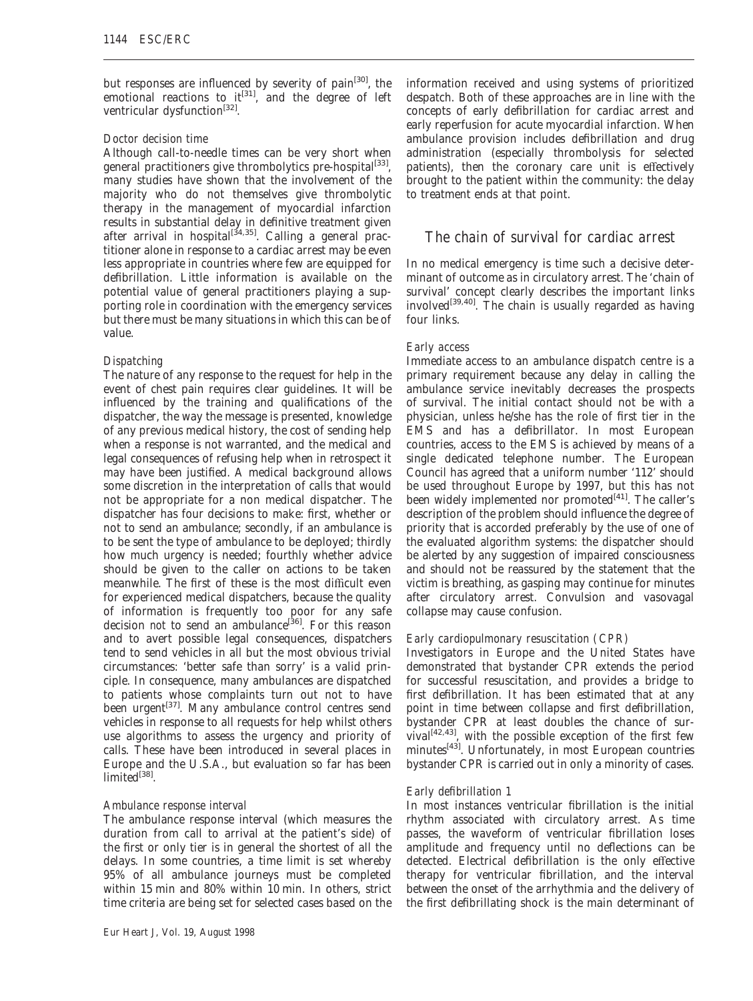but responses are influenced by severity of pain<sup>[30]</sup>, the emotional reactions to  $it^{[31]}$ , and the degree of left ventricular dysfunction[32].

### *Doctor decision time*

Although call-to-needle times can be very short when general practitioners give thrombolytics pre-hospital<sup>[33]</sup>, many studies have shown that the involvement of the majority who do not themselves give thrombolytic therapy in the management of myocardial infarction results in substantial delay in definitive treatment given after arrival in hospital $[34,35]$ . Calling a general practitioner alone in response to a cardiac arrest may be even less appropriate in countries where few are equipped for defibrillation. Little information is available on the potential value of general practitioners playing a supporting role in coordination with the emergency services but there must be many situations in which this can be of value.

#### *Dispatching*

The nature of any response to the request for help in the event of chest pain requires clear guidelines. It will be influenced by the training and qualifications of the dispatcher, the way the message is presented, knowledge of any previous medical history, the cost of sending help when a response is not warranted, and the medical and legal consequences of refusing help when in retrospect it may have been justified. A medical background allows some discretion in the interpretation of calls that would not be appropriate for a non medical dispatcher. The dispatcher has four decisions to make: first, whether or not to send an ambulance; secondly, if an ambulance is to be sent the type of ambulance to be deployed; thirdly how much urgency is needed; fourthly whether advice should be given to the caller on actions to be taken meanwhile. The first of these is the most difficult even for experienced medical dispatchers, because the quality of information is frequently too poor for any safe decision *not* to send an ambulance<sup>[36]</sup>. For this reason and to avert possible legal consequences, dispatchers tend to send vehicles in all but the most obvious trivial circumstances: 'better safe than sorry' is a valid principle. In consequence, many ambulances are dispatched to patients whose complaints turn out not to have been urgent<sup>[37]</sup>. Many ambulance control centres send vehicles in response to all requests for help whilst others use algorithms to assess the urgency and priority of calls. These have been introduced in several places in Europe and the U.S.A., but evaluation so far has been  $\lim\left[ 1$ <sub>[38]</sub>.

#### *Ambulance response interval*

The ambulance response interval (which measures the duration from call to arrival at the patient's side) of the first or only tier is in general the shortest of all the delays. In some countries, a time limit is set whereby 95% of all ambulance journeys must be completed within 15 min and 80% within 10 min. In others, strict time criteria are being set for selected cases based on the information received and using systems of prioritized despatch. Both of these approaches are in line with the concepts of early defibrillation for cardiac arrest and early reperfusion for acute myocardial infarction. When ambulance provision includes defibrillation and drug administration (especially thrombolysis for selected patients), then the coronary care unit is effectively brought to the patient within the community: the delay to treatment ends at that point.

### *The chain of survival for cardiac arrest*

In no medical emergency is time such a decisive determinant of outcome as in circulatory arrest. The 'chain of survival' concept clearly describes the important links involved<sup>[39,40]</sup>. The chain is usually regarded as having four links.

### *Early access*

Immediate access to an ambulance dispatch centre is a primary requirement because any delay in calling the ambulance service inevitably decreases the prospects of survival. The initial contact should not be with a physician, unless he/she has the role of first tier in the EMS and has a defibrillator. In most European countries, access to the EMS is achieved by means of a single dedicated telephone number. The European Council has agreed that a uniform number '112' should be used throughout Europe by 1997, but this has not been widely implemented nor promoted $[41]$ . The caller's description of the problem should influence the degree of priority that is accorded preferably by the use of one of the evaluated algorithm systems: the dispatcher should be alerted by any suggestion of impaired consciousness and should not be reassured by the statement that the victim is breathing, as gasping may continue for minutes after circulatory arrest. Convulsion and vasovagal collapse may cause confusion.

#### *Early cardiopulmonary resuscitation (CPR)*

Investigators in Europe and the United States have demonstrated that bystander CPR extends the period for successful resuscitation, and provides a bridge to first defibrillation. It has been estimated that at any point in time between collapse and first defibrillation, bystander CPR at least doubles the chance of sur $vival^{[42,43]}$ , with the possible exception of the first few minutes<sup>[43]</sup>. Unfortunately, in most European countries bystander CPR is carried out in only a minority of cases.

#### *Early defibrillation 1*

In most instances ventricular fibrillation is the initial rhythm associated with circulatory arrest. As time passes, the waveform of ventricular fibrillation loses amplitude and frequency until no deflections can be detected. Electrical defibrillation is the only effective therapy for ventricular fibrillation, and the interval between the onset of the arrhythmia and the delivery of the first defibrillating shock is the main determinant of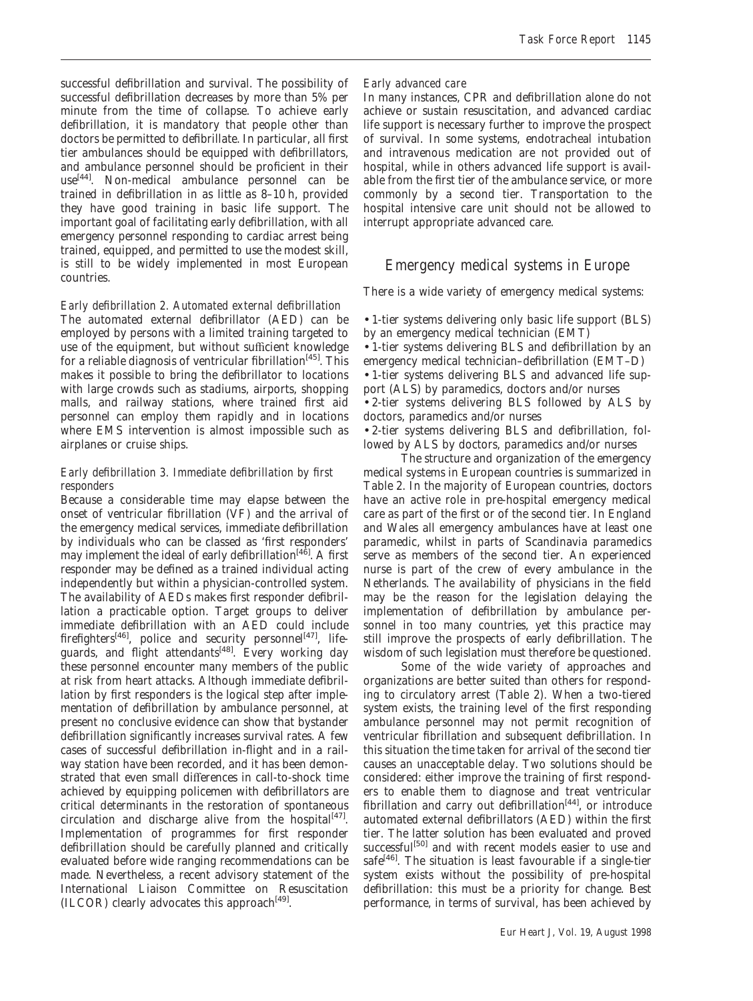successful defibrillation and survival. The possibility of successful defibrillation decreases by more than 5% per minute from the time of collapse. To achieve early defibrillation, it is mandatory that people other than doctors be permitted to defibrillate. In particular, all first tier ambulances should be equipped with defibrillators, and ambulance personnel should be proficient in their use<sup>[44]</sup>. Non-medical ambulance personnel can be trained in defibrillation in as little as 8–10 h, provided they have good training in basic life support. The important goal of facilitating early defibrillation, with all emergency personnel responding to cardiac arrest being trained, equipped, and permitted to use the modest skill, is still to be widely implemented in most European countries.

#### *Early defibrillation 2. Automated external defibrillation*

The automated external defibrillator (AED) can be employed by persons with a limited training targeted to use of the equipment, but without sufficient knowledge for a reliable diagnosis of ventricular fibrillation<sup>[45]</sup>. This makes it possible to bring the defibrillator to locations with large crowds such as stadiums, airports, shopping malls, and railway stations, where trained first aid personnel can employ them rapidly and in locations where EMS intervention is almost impossible such as airplanes or cruise ships.

### *Early defibrillation 3. Immediate defibrillation by first responders*

Because a considerable time may elapse between the onset of ventricular fibrillation (VF) and the arrival of the emergency medical services, immediate defibrillation by individuals who can be classed as 'first responders' may implement the ideal of early defibrillation<sup>[46]</sup>. A first responder may be defined as a trained individual acting independently but within a physician-controlled system. The availability of AEDs makes first responder defibrillation a practicable option. Target groups to deliver immediate defibrillation with an AED could include firefighters<sup>[46]</sup>, police and security personnel<sup>[47]</sup>, lifeguards, and flight attendants<sup>[48]</sup>. Every working day these personnel encounter many members of the public at risk from heart attacks. Although immediate defibrillation by first responders is the logical step after implementation of defibrillation by ambulance personnel, at present no conclusive evidence can show that bystander defibrillation significantly increases survival rates. A few cases of successful defibrillation in-flight and in a railway station have been recorded, and it has been demonstrated that even small differences in call-to-shock time achieved by equipping policemen with defibrillators are critical determinants in the restoration of spontaneous circulation and discharge alive from the hospital<sup>[47]</sup>. Implementation of programmes for first responder defibrillation should be carefully planned and critically evaluated before wide ranging recommendations can be made. Nevertheless, a recent advisory statement of the International Liaison Committee on Resuscitation (ILCOR) clearly advocates this approach $[49]$ .

### *Early advanced care*

In many instances, CPR and defibrillation alone do not achieve or sustain resuscitation, and advanced cardiac life support is necessary further to improve the prospect of survival. In some systems, endotracheal intubation and intravenous medication are not provided out of hospital, while in others advanced life support is available from the first tier of the ambulance service, or more commonly by a second tier. Transportation to the hospital intensive care unit should not be allowed to interrupt appropriate advanced care.

### *Emergency medical systems in Europe*

There is a wide variety of emergency medical systems:

• 1-tier systems delivering only basic life support (BLS) by an emergency medical technician (EMT) • 1-tier systems delivering BLS and defibrillation by an emergency medical technician–defibrillation (EMT–D) • 1-tier systems delivering BLS and advanced life support (ALS) by paramedics, doctors and/or nurses • 2-tier systems delivering BLS followed by ALS by doctors, paramedics and/or nurses

• 2-tier systems delivering BLS and defibrillation, followed by ALS by doctors, paramedics and/or nurses

The structure and organization of the emergency medical systems in European countries is summarized in Table 2. In the majority of European countries, doctors have an active role in pre-hospital emergency medical care as part of the first or of the second tier. In England and Wales all emergency ambulances have at least one paramedic, whilst in parts of Scandinavia paramedics serve as members of the second tier. An experienced nurse is part of the crew of every ambulance in the Netherlands. The availability of physicians in the field may be the reason for the legislation delaying the implementation of defibrillation by ambulance personnel in too many countries, yet this practice may still improve the prospects of early defibrillation. The wisdom of such legislation must therefore be questioned.

Some of the wide variety of approaches and organizations are better suited than others for responding to circulatory arrest (Table 2). When a two-tiered system exists, the training level of the first responding ambulance personnel may not permit recognition of ventricular fibrillation and subsequent defibrillation. In this situation the time taken for arrival of the second tier causes an unacceptable delay. Two solutions should be considered: either improve the training of first responders to enable them to diagnose and treat ventricular fibrillation and carry out defibrillation $[44]$ , or introduce automated external defibrillators (AED) within the first tier. The latter solution has been evaluated and proved successful<sup>[50]</sup> and with recent models easier to use and safe<sup>[46]</sup>. The situation is least favourable if a single-tier system exists without the possibility of pre-hospital defibrillation: this must be a priority for change. Best performance, in terms of survival, has been achieved by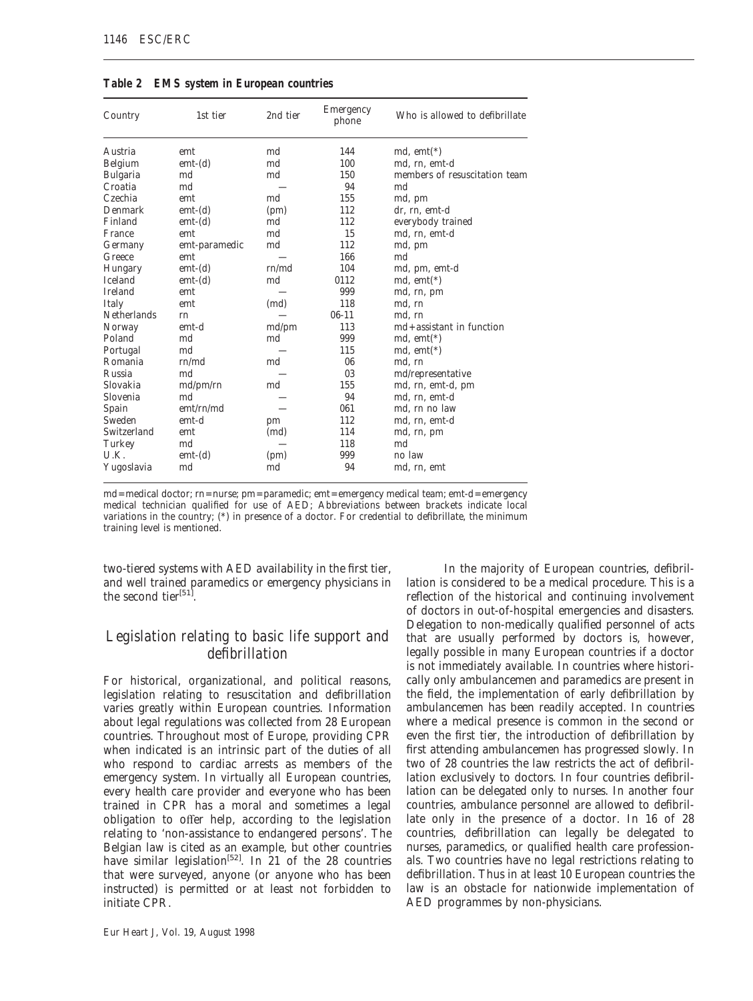| Country            | 1st tier      | 2nd tier | Emergency<br>phone | Who is allowed to defibrillate |
|--------------------|---------------|----------|--------------------|--------------------------------|
| Austria            | emt           | md       | 144                | md, $emt(*)$                   |
| <b>Belgium</b>     | $emt-(d)$     | md       | 100                | md, rn, emt-d                  |
| <b>Bulgaria</b>    | md            | md       | 150                | members of resuscitation team  |
| Croatia            | md            |          | 94                 | md                             |
| Czechia            | emt           | md       | 155                | md, pm                         |
| Denmark            | $emt-(d)$     | (pm)     | 112                | dr. rn. emt-d                  |
| Finland            | $emt-(d)$     | md       | 112                | everybody trained              |
| France             | emt           | md       | 15                 | md, rn, emt-d                  |
| Germany            | emt-paramedic | md       | 112                | md, pm                         |
| Greece             | emt           |          | 166                | md                             |
| Hungary            | $emt-(d)$     | rm/md    | 104                | md, pm, emt-d                  |
| <b>Iceland</b>     | $emt-(d)$     | md       | 0112               | md, $emt(*)$                   |
| Ireland            | emt           |          | 999                | md, rn, pm                     |
| Italy              | emt           | (md)     | 118                | md. rn                         |
| <b>Netherlands</b> | rn            |          | $06-11$            | md, rn                         |
| Norway             | emt-d         | md/pm    | 113                | $md +$ assistant in function   |
| Poland             | md            | md       | 999                | md, $emt(*)$                   |
| Portugal           | md            |          | 115                | md, $emt(*)$                   |
| Romania            | rm/md         | md       | 06                 | md. rn                         |
| Russia             | md            |          | 03                 | md/representative              |
| Slovakia           | md/pm/rn      | md       | 155                | md, rn, emt-d, pm              |
| Slovenia           | md            |          | 94                 | md. rn. emt-d                  |
| Spain              | emt/m/md      |          | 061                | md, rn no law                  |
| Sweden             | emt-d         | pm       | 112                | md, rn, emt-d                  |
| Switzerland        | emt           | (md)     | 114                | md, rn, pm                     |
| Turkey             | md            |          | 118                | md                             |
| U.K.               | $emt-(d)$     | (pm)     | 999                | no law                         |
| Yugoslavia         | md            | md       | 94                 | md, rn, emt                    |

*Table 2 EMS system in European countries*

md=medical doctor; rn=nurse; pm=paramedic; emt=emergency medical team; emt-d=emergency medical technician qualified for use of AED; Abbreviations between brackets indicate local variations in the country; (\*) in presence of a doctor. For credential to defibrillate, the minimum training level is mentioned.

two-tiered systems with AED availability in the first tier, and well trained paramedics or emergency physicians in the second tier $^{[51]}$ .

# *Legislation relating to basic life support and defibrillation*

For historical, organizational, and political reasons, legislation relating to resuscitation and defibrillation varies greatly within European countries. Information about legal regulations was collected from 28 European countries. Throughout most of Europe, providing CPR when indicated is an intrinsic part of the duties of all who respond to cardiac arrests as members of the emergency system. In virtually all European countries, every health care provider and everyone who has been trained in CPR has a moral and sometimes a legal obligation to offer help, according to the legislation relating to 'non-assistance to endangered persons'. The Belgian law is cited as an example, but other countries have similar legislation<sup>[52]</sup>. In 21 of the 28 countries that were surveyed, anyone (or anyone who has been instructed) is permitted or at least not forbidden to initiate CPR.

In the majority of European countries, defibrillation is considered to be a medical procedure. This is a reflection of the historical and continuing involvement of doctors in out-of-hospital emergencies and disasters. Delegation to non-medically qualified personnel of acts that are usually performed by doctors is, however, legally possible in many European countries if a doctor is not immediately available. In countries where historically only ambulancemen and paramedics are present in the field, the implementation of early defibrillation by ambulancemen has been readily accepted. In countries where a medical presence is common in the second or even the first tier, the introduction of defibrillation by first attending ambulancemen has progressed slowly. In two of 28 countries the law restricts the act of defibrillation exclusively to doctors. In four countries defibrillation can be delegated only to nurses. In another four countries, ambulance personnel are allowed to defibrillate only in the presence of a doctor. In 16 of 28 countries, defibrillation can legally be delegated to nurses, paramedics, or qualified health care professionals. Two countries have no legal restrictions relating to defibrillation. Thus in at least 10 European countries the law is an obstacle for nationwide implementation of AED programmes by non-physicians.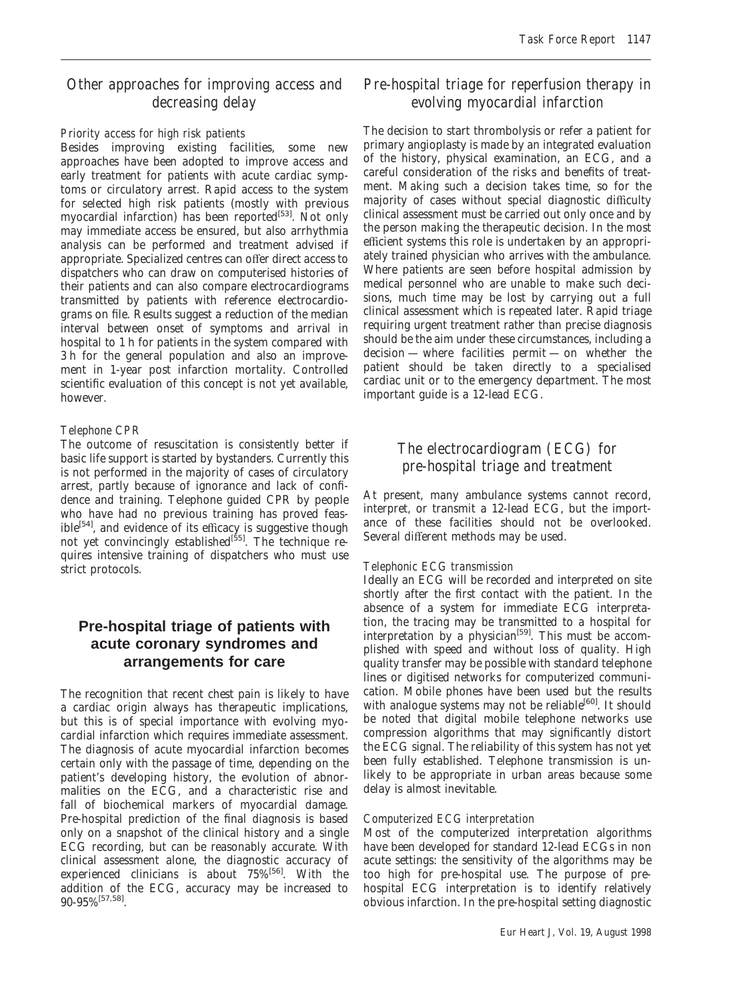# *Other approaches for improving access and decreasing delay*

#### *Priority access for high risk patients*

Besides improving existing facilities, some new approaches have been adopted to improve access and early treatment for patients with acute cardiac symptoms or circulatory arrest. Rapid access to the system for selected high risk patients (mostly with previous myocardial infarction) has been reported<sup>[53]</sup>. Not only may immediate access be ensured, but also arrhythmia analysis can be performed and treatment advised if appropriate. Specialized centres can offer direct access to dispatchers who can draw on computerised histories of their patients and can also compare electrocardiograms transmitted by patients with reference electrocardiograms on file. Results suggest a reduction of the median interval between onset of symptoms and arrival in hospital to 1 h for patients in the system compared with 3 h for the general population and also an improvement in 1-year post infarction mortality. Controlled scientific evaluation of this concept is not yet available, however.

#### *Telephone CPR*

The outcome of resuscitation is consistently better if basic life support is started by bystanders. Currently this is not performed in the majority of cases of circulatory arrest, partly because of ignorance and lack of confidence and training. Telephone guided CPR by people who have had no previous training has proved feasible<sup>[54]</sup>, and evidence of its efficacy is suggestive though not yet convincingly established<sup>[55]</sup>. The technique requires intensive training of dispatchers who must use strict protocols.

# **Pre-hospital triage of patients with acute coronary syndromes and arrangements for care**

The recognition that recent chest pain is likely to have a cardiac origin always has therapeutic implications, but this is of special importance with evolving myocardial infarction which requires immediate assessment. The diagnosis of acute myocardial infarction becomes certain only with the passage of time, depending on the patient's developing history, the evolution of abnormalities on the ECG, and a characteristic rise and fall of biochemical markers of myocardial damage. Pre-hospital prediction of the final diagnosis is based only on a snapshot of the clinical history and a single ECG recording, but can be reasonably accurate. With clinical assessment alone, the diagnostic accuracy of experienced clinicians is about  $75\%$ <sup>[56]</sup>. With the addition of the ECG, accuracy may be increased to 90-95%[57,58].

# *Pre-hospital triage for reperfusion therapy in evolving myocardial infarction*

The decision to start thrombolysis or refer a patient for primary angioplasty is made by an integrated evaluation of the history, physical examination, an ECG, and a careful consideration of the risks and benefits of treatment. Making such a decision takes time, so for the majority of cases without special diagnostic difficulty clinical assessment must be carried out only once and by the person making the therapeutic decision. In the most efficient systems this role is undertaken by an appropriately trained physician who arrives with the ambulance. Where patients are seen before hospital admission by medical personnel who are unable to make such decisions, much time may be lost by carrying out a full clinical assessment which is repeated later. Rapid triage requiring urgent treatment rather than precise diagnosis should be the aim under these circumstances, including a decision — where facilities permit — on whether the patient should be taken directly to a specialised cardiac unit or to the emergency department. The most important guide is a 12-lead ECG.

# *The electrocardiogram (ECG) for pre-hospital triage and treatment*

At present, many ambulance systems cannot record, interpret, or transmit a 12-lead ECG, but the importance of these facilities should not be overlooked. Several different methods may be used.

### *Telephonic ECG transmission*

Ideally an ECG will be recorded and interpreted on site shortly after the first contact with the patient. In the absence of a system for immediate ECG interpretation, the tracing may be transmitted to a hospital for interpretation by a physician<sup>[59]</sup>. This must be accomplished with speed and without loss of quality. High quality transfer may be possible with standard telephone lines or digitised networks for computerized communication. Mobile phones have been used but the results with analogue systems may not be reliable<sup>[60]</sup>. It should be noted that digital mobile telephone networks use compression algorithms that may significantly distort the ECG signal. The reliability of this system has not yet been fully established. Telephone transmission is unlikely to be appropriate in urban areas because some delay is almost inevitable.

### *Computerized ECG interpretation*

Most of the computerized interpretation algorithms have been developed for standard 12-lead ECGs in non acute settings: the sensitivity of the algorithms may be too high for pre-hospital use. The purpose of prehospital ECG interpretation is to identify relatively obvious infarction. In the pre-hospital setting diagnostic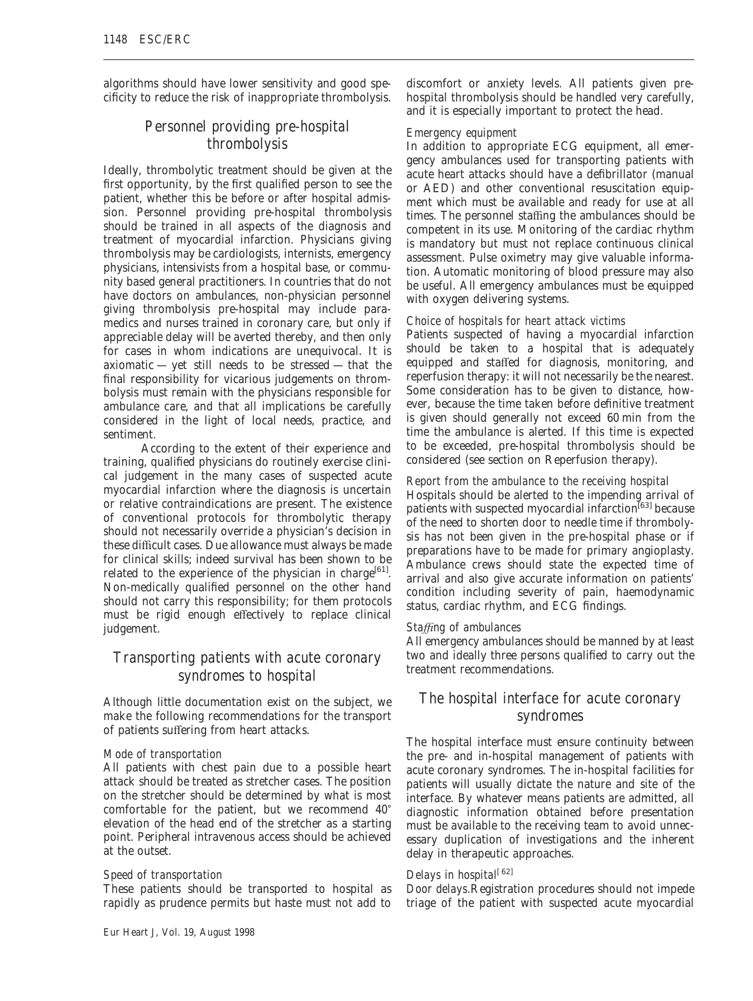algorithms should have lower sensitivity and good specificity to reduce the risk of inappropriate thrombolysis.

# *Personnel providing pre-hospital thrombolysis*

Ideally, thrombolytic treatment should be given at the first opportunity, by the first qualified person to see the patient, whether this be before or after hospital admission. Personnel providing pre-hospital thrombolysis should be trained in all aspects of the diagnosis and treatment of myocardial infarction. Physicians giving thrombolysis may be cardiologists, internists, emergency physicians, intensivists from a hospital base, or community based general practitioners. In countries that do not have doctors on ambulances, non-physician personnel giving thrombolysis pre-hospital may include paramedics and nurses trained in coronary care, but only if appreciable delay will be averted thereby, and then only for cases in whom indications are unequivocal. It is axiomatic — yet still needs to be stressed — that the final responsibility for vicarious judgements on thrombolysis must remain with the physicians responsible for ambulance care, and that all implications be carefully considered in the light of local needs, practice, and sentiment.

According to the extent of their experience and training, qualified physicians do routinely exercise clinical judgement in the many cases of suspected acute myocardial infarction where the diagnosis is uncertain or relative contraindications are present. The existence of conventional protocols for thrombolytic therapy should not necessarily override a physician's decision in these difficult cases. Due allowance must always be made for clinical skills; indeed survival has been shown to be related to the experience of the physician in charge<sup>[61]</sup>. Non-medically qualified personnel on the other hand should not carry this responsibility; for them protocols must be rigid enough effectively to replace clinical judgement.

# *Transporting patients with acute coronary syndromes to hospital*

Although little documentation exist on the subject, we make the following recommendations for the transport of patients suffering from heart attacks.

### *Mode of transportation*

All patients with chest pain due to a possible heart attack should be treated as stretcher cases. The position on the stretcher should be determined by what is most comfortable for the patient, but we recommend 40° elevation of the head end of the stretcher as a starting point. Peripheral intravenous access should be achieved at the outset.

### *Speed of transportation*

These patients should be transported to hospital as rapidly as prudence permits but haste must not add to

discomfort or anxiety levels. All patients given prehospital thrombolysis should be handled very carefully, and it is especially important to protect the head.

### *Emergency equipment*

In addition to appropriate ECG equipment, all emergency ambulances used for transporting patients with acute heart attacks should have a defibrillator (manual or AED) and other conventional resuscitation equipment which must be available and ready for use at all times. The personnel staffing the ambulances should be competent in its use. Monitoring of the cardiac rhythm is mandatory but must not replace continuous clinical assessment. Pulse oximetry may give valuable information. Automatic monitoring of blood pressure may also be useful. All emergency ambulances must be equipped with oxygen delivering systems.

### *Choice of hospitals for heart attack victims*

Patients suspected of having a myocardial infarction should be taken to a hospital that is adequately equipped and staffed for diagnosis, monitoring, and reperfusion therapy: it will not necessarily be the nearest. Some consideration has to be given to distance, however, because the time taken before definitive treatment is given should generally not exceed 60 min from the time the ambulance is alerted. If this time is expected to be exceeded, pre-hospital thrombolysis should be considered (see section on Reperfusion therapy).

### *Report from the ambulance to the receiving hospital*

Hospitals should be alerted to the impending arrival of patients with suspected myocardial infarction<sup>[63]</sup> because of the need to shorten door to needle time if thrombolysis has not been given in the pre-hospital phase or if preparations have to be made for primary angioplasty. Ambulance crews should state the expected time of arrival and also give accurate information on patients' condition including severity of pain, haemodynamic status, cardiac rhythm, and ECG findings.

### *Staffing of ambulances*

All emergency ambulances should be manned by at least two and ideally three persons qualified to carry out the treatment recommendations.

# *The hospital interface for acute coronary syndromes*

The hospital interface must ensure continuity between the pre- and in-hospital management of patients with acute coronary syndromes. The in-hospital facilities for patients will usually dictate the nature and site of the interface. By whatever means patients are admitted, all diagnostic information obtained before presentation must be available to the receiving team to avoid unnecessary duplication of investigations and the inherent delay in therapeutic approaches.

# *Delays in hospital[62]*

*Door delays.*Registration procedures should not impede triage of the patient with suspected acute myocardial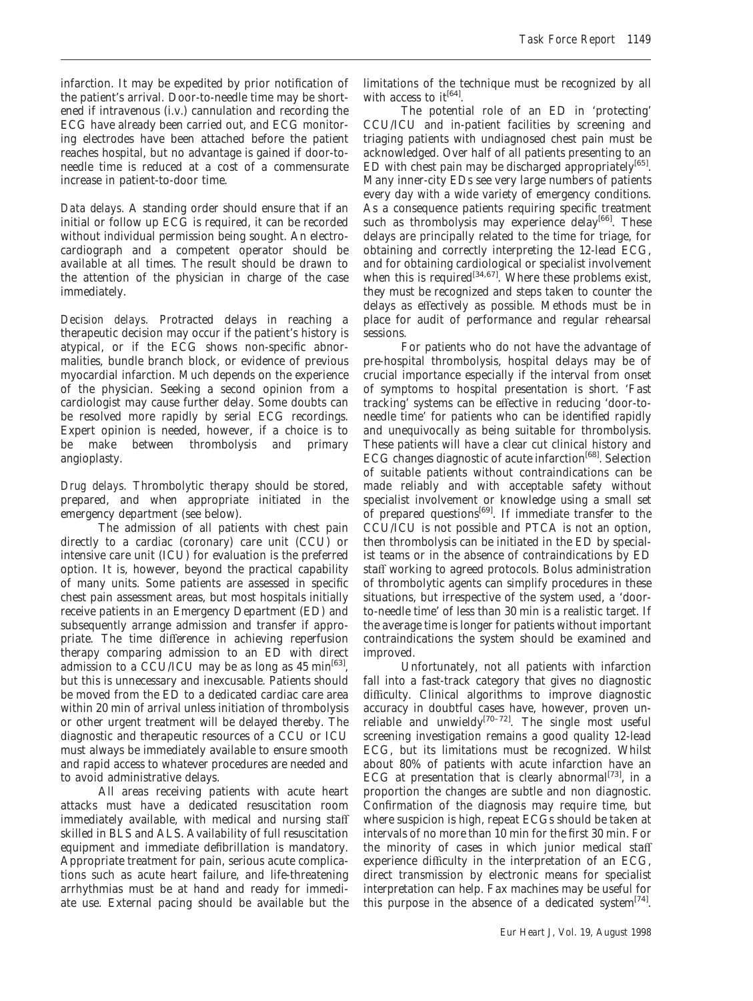infarction. It may be expedited by prior notification of the patient's arrival. Door-to-needle time may be shortened if intravenous (i.v.) cannulation and recording the ECG have already been carried out, and ECG monitoring electrodes have been attached before the patient reaches hospital, but no advantage is gained if door-toneedle time is reduced at a cost of a commensurate increase in patient-to-door time.

*Data delays.* A standing order should ensure that if an initial or follow up ECG is required, it can be recorded without individual permission being sought. An electrocardiograph and a competent operator should be available at all times. The result should be drawn to the attention of the physician in charge of the case immediately.

*Decision delays.* Protracted delays in reaching a therapeutic decision may occur if the patient's history is atypical, or if the ECG shows non-specific abnormalities, bundle branch block, or evidence of previous myocardial infarction. Much depends on the experience of the physician. Seeking a second opinion from a cardiologist may cause further delay. Some doubts can be resolved more rapidly by serial ECG recordings. Expert opinion is needed, however, if a choice is to be make between thrombolysis and primary angioplasty.

*Drug delays.* Thrombolytic therapy should be stored, prepared, and when appropriate initiated in the emergency department (see below).

The admission of all patients with chest pain directly to a cardiac (coronary) care unit (CCU) or intensive care unit (ICU) for evaluation is the preferred option. It is, however, beyond the practical capability of many units. Some patients are assessed in specific chest pain assessment areas, but most hospitals initially receive patients in an Emergency Department (ED) and subsequently arrange admission and transfer if appropriate. The time difference in achieving reperfusion therapy comparing admission to an ED with direct admission to a CCU/ICU may be as long as  $45 \text{ min}^{[63]}$ , but this is unnecessary and inexcusable. Patients should be moved from the ED to a dedicated cardiac care area within 20 min of arrival unless initiation of thrombolysis or other urgent treatment will be delayed thereby. The diagnostic and therapeutic resources of a CCU or ICU must always be immediately available to ensure smooth and rapid access to whatever procedures are needed and to avoid administrative delays.

All areas receiving patients with acute heart attacks must have a dedicated resuscitation room immediately available, with medical and nursing staff skilled in BLS and ALS. Availability of full resuscitation equipment and immediate defibrillation is mandatory. Appropriate treatment for pain, serious acute complications such as acute heart failure, and life-threatening arrhythmias must be at hand and ready for immediate use. External pacing should be available but the

limitations of the technique must be recognized by all with access to it[ $64$ ].

The potential role of an ED in 'protecting' CCU/ICU and in-patient facilities by screening and triaging patients with undiagnosed chest pain must be acknowledged. Over half of all patients presenting to an ED with chest pain may be discharged appropriately<sup>[65]</sup>. Many inner-city EDs see very large numbers of patients every day with a wide variety of emergency conditions. As a consequence patients requiring specific treatment such as thrombolysis may experience delay<sup>[66]</sup>. These delays are principally related to the time for triage, for obtaining and correctly interpreting the 12-lead ECG, and for obtaining cardiological or specialist involvement when this is required<sup>[34,67]</sup>. Where these problems exist, they must be recognized and steps taken to counter the delays as effectively as possible. Methods must be in place for audit of performance and regular rehearsal sessions.

For patients who do not have the advantage of pre-hospital thrombolysis, hospital delays may be of crucial importance especially if the interval from onset of symptoms to hospital presentation is short. 'Fast tracking' systems can be effective in reducing 'door-toneedle time' for patients who can be identified rapidly and unequivocally as being suitable for thrombolysis. These patients will have a clear cut clinical history and ECG changes diagnostic of acute infarction<sup>[68]</sup>. Selection of suitable patients without contraindications can be made reliably and with acceptable safety without specialist involvement or knowledge using a small set of prepared questions[69]. If immediate transfer to the CCU/ICU is not possible and PTCA is not an option, then thrombolysis can be initiated in the ED by specialist teams or in the absence of contraindications by ED staff working to agreed protocols. Bolus administration of thrombolytic agents can simplify procedures in these situations, but irrespective of the system used, a 'doorto-needle time' of less than 30 min is a realistic target. If the average time is longer for patients without important contraindications the system should be examined and improved.

Unfortunately, not all patients with infarction fall into a fast-track category that gives no diagnostic difficulty. Clinical algorithms to improve diagnostic accuracy in doubtful cases have, however, proven unreliable and unwieldy<sup>[70–72]</sup>. The single most useful screening investigation remains a good quality 12-lead ECG, but its limitations must be recognized. Whilst about 80% of patients with acute infarction have an ECG at presentation that is clearly abnormal<sup>[73]</sup>, in a proportion the changes are subtle and non diagnostic. Confirmation of the diagnosis may require time, but where suspicion is high, repeat ECGs should be taken at intervals of no more than 10 min for the first 30 min. For the minority of cases in which junior medical staff experience difficulty in the interpretation of an ECG, direct transmission by electronic means for specialist interpretation can help. Fax machines may be useful for this purpose in the absence of a dedicated system $^{[74]}$ .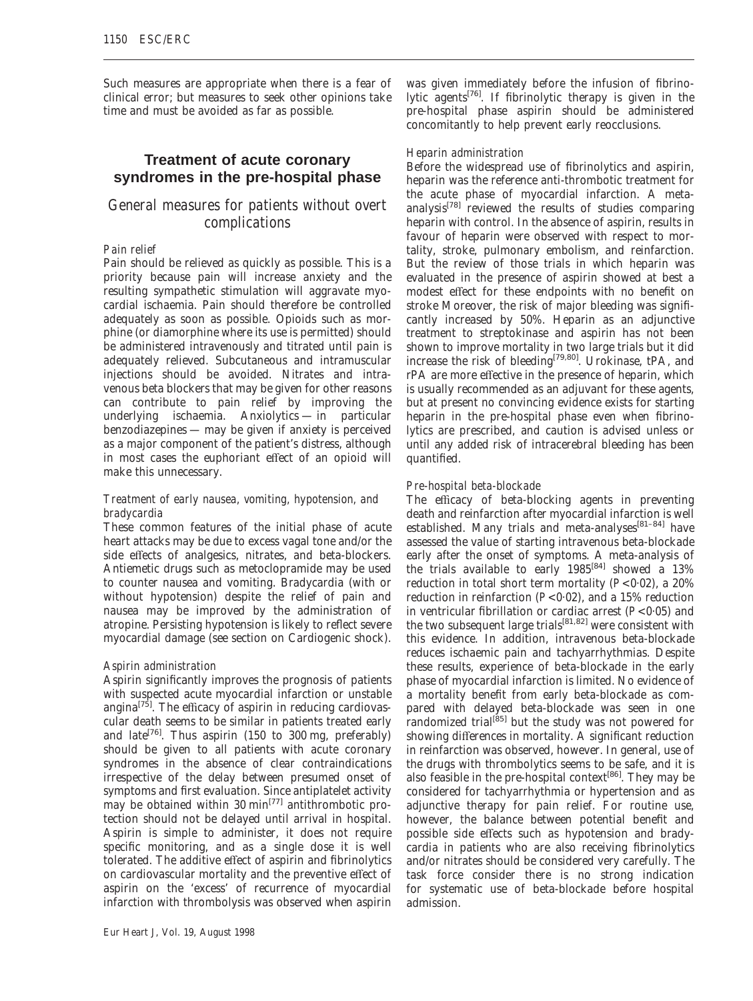Such measures are appropriate when there is a fear of clinical error; but measures to seek other opinions take time and must be avoided as far as possible.

# **Treatment of acute coronary syndromes in the pre-hospital phase**

# *General measures for patients without overt complications*

### *Pain relief*

Pain should be relieved as quickly as possible. This is a priority because pain will increase anxiety and the resulting sympathetic stimulation will aggravate myocardial ischaemia. Pain should therefore be controlled adequately as soon as possible. Opioids such as morphine (or diamorphine where its use is permitted) should be administered intravenously and titrated until pain is adequately relieved. Subcutaneous and intramuscular injections should be avoided. Nitrates and intravenous beta blockers that may be given for other reasons can contribute to pain relief by improving the underlying ischaemia. Anxiolytics — in particular benzodiazepines — may be given if anxiety is perceived as a major component of the patient's distress, although in most cases the euphoriant effect of an opioid will make this unnecessary.

### *Treatment of early nausea, vomiting, hypotension, and bradycardia*

These common features of the initial phase of acute heart attacks may be due to excess vagal tone and/or the side effects of analgesics, nitrates, and beta-blockers. Antiemetic drugs such as metoclopramide may be used to counter nausea and vomiting. Bradycardia (with or without hypotension) despite the relief of pain and nausea may be improved by the administration of atropine. Persisting hypotension is likely to reflect severe myocardial damage (see section on Cardiogenic shock).

### *Aspirin administration*

Aspirin significantly improves the prognosis of patients with suspected acute myocardial infarction or unstable angina<sup>[75]</sup>. The efficacy of aspirin in reducing cardiovascular death seems to be similar in patients treated early and late<sup>[76]</sup>. Thus aspirin (150 to 300 mg, preferably) should be given to all patients with acute coronary syndromes in the absence of clear contraindications irrespective of the delay between presumed onset of symptoms and first evaluation. Since antiplatelet activity may be obtained within 30 min<sup>[77]</sup> antithrombotic protection should not be delayed until arrival in hospital. Aspirin is simple to administer, it does not require specific monitoring, and as a single dose it is well tolerated. The additive effect of aspirin and fibrinolytics on cardiovascular mortality and the preventive effect of aspirin on the 'excess' of recurrence of myocardial infarction with thrombolysis was observed when aspirin

was given immediately before the infusion of fibrinolytic agents<sup>[76]</sup>. If fibrinolytic therapy is given in the pre-hospital phase aspirin should be administered concomitantly to help prevent early reocclusions.

### *Heparin administration*

Before the widespread use of fibrinolytics and aspirin, heparin was the reference anti-thrombotic treatment for the acute phase of myocardial infarction. A metaanalysis<sup>[78]</sup> reviewed the results of studies comparing heparin with control. In the absence of aspirin, results in favour of heparin were observed with respect to mortality, stroke, pulmonary embolism, and reinfarction. But the review of those trials in which heparin was evaluated in the presence of aspirin showed at best a modest effect for these endpoints with no benefit on stroke Moreover, the risk of major bleeding was significantly increased by 50%. Heparin as an adjunctive treatment to streptokinase and aspirin has not been shown to improve mortality in two large trials but it did increase the risk of bleeding<sup>[79,80]</sup>. Urokinase, tPA, and rPA are more effective in the presence of heparin, which is usually recommended as an adjuvant for these agents, but at present no convincing evidence exists for starting heparin in the pre-hospital phase even when fibrinolytics are prescribed, and caution is advised unless or until any added risk of intracerebral bleeding has been quantified.

### *Pre-hospital beta-blockade*

The efficacy of beta-blocking agents in preventing death and reinfarction after myocardial infarction is well established. Many trials and meta-analyses<sup>[81–84]</sup> have assessed the value of starting intravenous beta-blockade early after the onset of symptoms. A meta-analysis of the trials available to early  $1985^{[84]}$  showed a 13% reduction in total short term mortality (*P*<0·02), a 20% reduction in reinfarction (*P*<0·02), and a 15% reduction in ventricular fibrillation or cardiac arrest (*P*<0·05) and the two subsequent large trials<sup>[81,82]</sup> were consistent with this evidence. In addition, intravenous beta-blockade reduces ischaemic pain and tachyarrhythmias. Despite these results, experience of beta-blockade in the early phase of myocardial infarction is limited. No evidence of a mortality benefit from early beta-blockade as compared with delayed beta-blockade was seen in one randomized trial<sup>[85]</sup> but the study was not powered for showing differences in mortality. A significant reduction in reinfarction was observed, however. In general, use of the drugs with thrombolytics seems to be safe, and it is also feasible in the pre-hospital context $[86]$ . They may be considered for tachyarrhythmia or hypertension and as adjunctive therapy for pain relief. For routine use, however, the balance between potential benefit and possible side effects such as hypotension and bradycardia in patients who are also receiving fibrinolytics and/or nitrates should be considered very carefully. The task force consider there is no strong indication for systematic use of beta-blockade before hospital admission.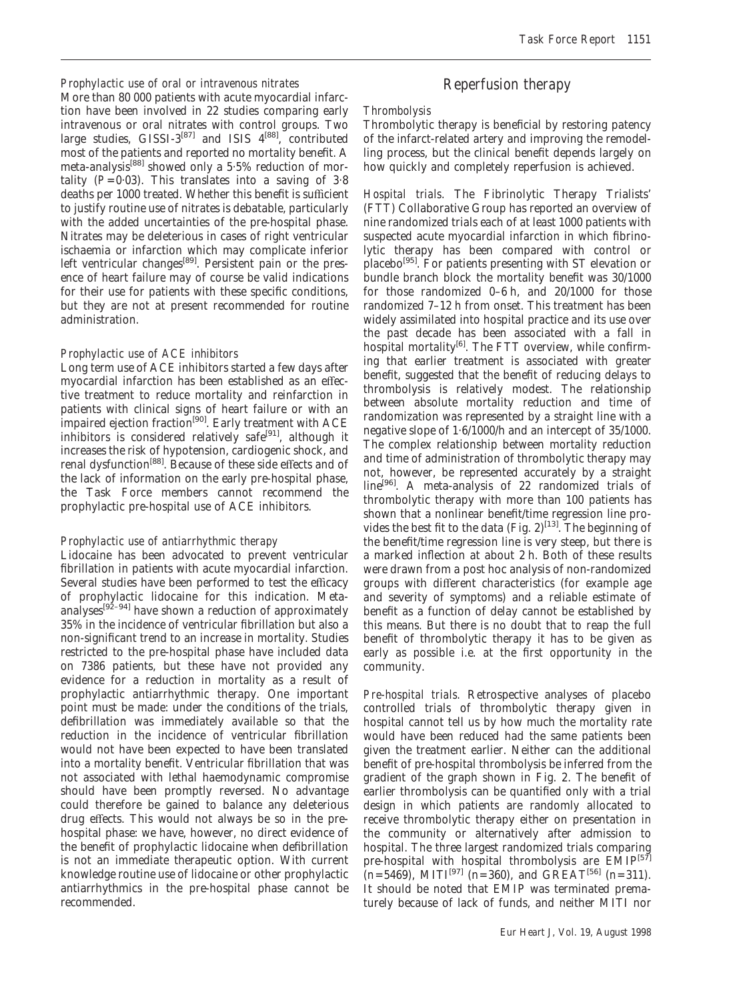### *Prophylactic use of oral or intravenous nitrates*

More than 80 000 patients with acute myocardial infarction have been involved in 22 studies comparing early intravenous or oral nitrates with control groups. Two large studies, GISSI-3<sup>[87]</sup> and ISIS  $4^{[88]}$ , contributed most of the patients and reported no mortality benefit. A meta-analysis[88] showed only a 5·5% reduction of mortality  $(P=0.03)$ . This translates into a saving of 3.8 deaths per 1000 treated. Whether this benefit is sufficient to justify routine use of nitrates is debatable, particularly with the added uncertainties of the pre-hospital phase. Nitrates may be deleterious in cases of right ventricular ischaemia or infarction which may complicate inferior left ventricular changes<sup>[89]</sup>. Persistent pain or the presence of heart failure may of course be valid indications for their use for patients with these specific conditions, but they are not at present recommended for routine administration.

### *Prophylactic use of ACE inhibitors*

Long term use of ACE inhibitors started a few days after myocardial infarction has been established as an effective treatment to reduce mortality and reinfarction in patients with clinical signs of heart failure or with an impaired ejection fraction<sup>[90]</sup>. Early treatment with ACE inhibitors is considered relatively safe<sup>[91]</sup>, although it increases the risk of hypotension, cardiogenic shock, and renal dysfunction[88]. Because of these side effects and of the lack of information on the early pre-hospital phase, the Task Force members cannot recommend the prophylactic pre-hospital use of ACE inhibitors.

### *Prophylactic use of antiarrhythmic therapy*

Lidocaine has been advocated to prevent ventricular fibrillation in patients with acute myocardial infarction. Several studies have been performed to test the efficacy of prophylactic lidocaine for this indication. Metaanalyses<sup>[92–94]</sup> have shown a reduction of approximately 35% in the incidence of ventricular fibrillation but also a non-significant trend to an increase in mortality. Studies restricted to the pre-hospital phase have included data on 7386 patients, but these have not provided any evidence for a reduction in mortality as a result of prophylactic antiarrhythmic therapy. One important point must be made: under the conditions of the trials, defibrillation was immediately available so that the reduction in the incidence of ventricular fibrillation would not have been expected to have been translated into a mortality benefit. Ventricular fibrillation that was not associated with lethal haemodynamic compromise should have been promptly reversed. No advantage could therefore be gained to balance any deleterious drug effects. This would not always be so in the prehospital phase: we have, however, no direct evidence of the benefit of prophylactic lidocaine when defibrillation is not an immediate therapeutic option. With current knowledge routine use of lidocaine or other prophylactic antiarrhythmics in the pre-hospital phase cannot be recommended.

# *Reperfusion therapy*

### *Thrombolysis*

Thrombolytic therapy is beneficial by restoring patency of the infarct-related artery and improving the remodelling process, but the clinical benefit depends largely on how quickly and completely reperfusion is achieved.

*Hospital trials.* The Fibrinolytic Therapy Trialists' (FTT) Collaborative Group has reported an overview of nine randomized trials each of at least 1000 patients with suspected acute myocardial infarction in which fibrinolytic therapy has been compared with control or placebo<sup>[95]</sup>. For patients presenting with ST elevation or bundle branch block the mortality benefit was 30/1000 for those randomized 0–6 h, and 20/1000 for those randomized 7–12 h from onset. This treatment has been widely assimilated into hospital practice and its use over the past decade has been associated with a fall in hospital mortality<sup>[6]</sup>. The FTT overview, while confirming that earlier treatment is associated with greater benefit, suggested that the benefit of reducing delays to thrombolysis is relatively modest. The relationship between absolute mortality reduction and time of randomization was represented by a straight line with a negative slope of 1·6/1000/h and an intercept of 35/1000. The complex relationship between mortality reduction and time of administration of thrombolytic therapy may not, however, be represented accurately by a straight line<sup>[96]</sup>. A meta-analysis of 22 randomized trials of thrombolytic therapy with more than 100 patients has shown that a nonlinear benefit/time regression line provides the best fit to the data  $(Fig. 2)^{[13]}$ . The beginning of the benefit/time regression line is very steep, but there is a marked inflection at about 2 h. Both of these results were drawn from a post hoc analysis of non-randomized groups with different characteristics (for example age and severity of symptoms) and a reliable estimate of benefit as a function of delay cannot be established by this means. But there is no doubt that to reap the full benefit of thrombolytic therapy it has to be given as early as possible i.e. at the first opportunity in the community.

*Pre-hospital trials.* Retrospective analyses of placebo controlled trials of thrombolytic therapy given in hospital cannot tell us by how much the mortality rate would have been reduced had the same patients been given the treatment earlier. Neither can the additional benefit of pre-hospital thrombolysis be inferred from the gradient of the graph shown in Fig. 2. The benefit of earlier thrombolysis can be quantified only with a trial design in which patients are randomly allocated to receive thrombolytic therapy either on presentation in the community or alternatively after admission to hospital. The three largest randomized trials comparing pre-hospital with hospital thrombolysis are EMIP<sup>[57]</sup>  $(n=5469)$ , MITI<sup>[97]</sup> (n=360), and GREAT<sup>[56]</sup> (n=311). It should be noted that EMIP was terminated prematurely because of lack of funds, and neither MITI nor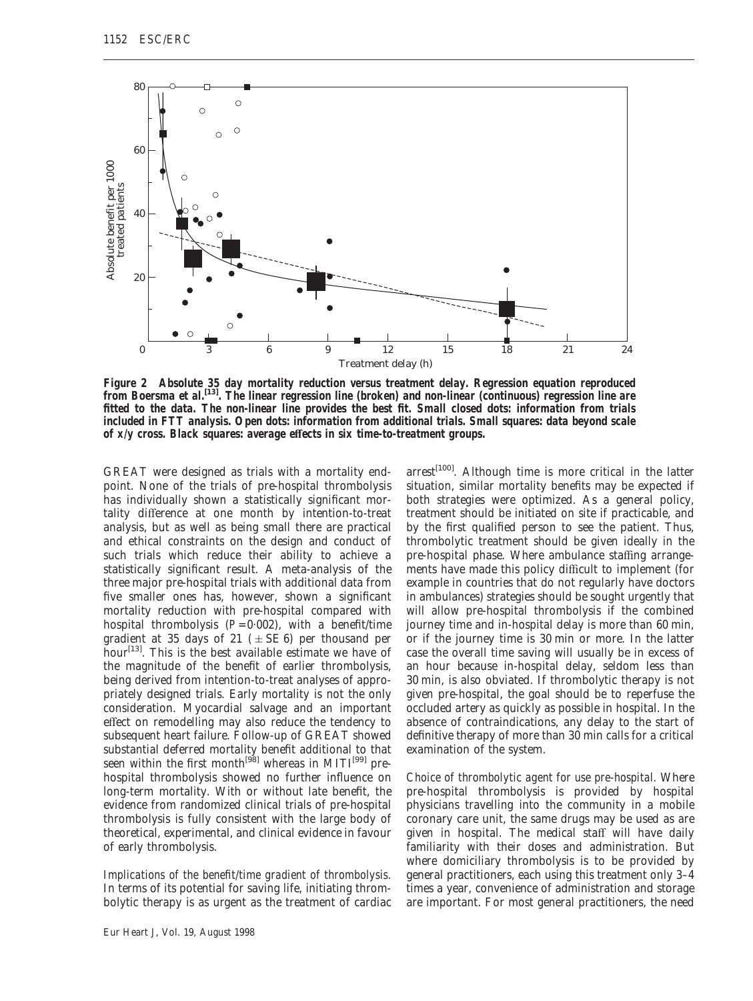

*Figure 2* **Absolute 35 day mortality reduction versus treatment delay. Regression equation reproduced from Boersma** *et al***. [13]. The linear regression line (broken) and non-linear (continuous) regression line are fitted to the data. The non-linear line provides the best fit. Small closed dots: information from trials included in FTT analysis. Open dots: information from additional trials. Small squares: data beyond scale of x/y cross. Black squares: average effects in six time-to-treatment groups.**

GREAT were designed as trials with a mortality endpoint. None of the trials of pre-hospital thrombolysis has individually shown a statistically significant mortality difference at one month by intention-to-treat analysis, but as well as being small there are practical and ethical constraints on the design and conduct of such trials which reduce their ability to achieve a statistically significant result. A meta-analysis of the three major pre-hospital trials with additional data from five smaller ones has, however, shown a significant mortality reduction with pre-hospital compared with hospital thrombolysis (*P*=0·002), with a benefit/time gradient at 35 days of 21 ( $\pm$  SE 6) per thousand per hour<sup>[13]</sup>. This is the best available estimate we have of the magnitude of the benefit of earlier thrombolysis, being derived from intention-to-treat analyses of appropriately designed trials. Early mortality is not the only consideration. Myocardial salvage and an important effect on remodelling may also reduce the tendency to subsequent heart failure. Follow-up of GREAT showed substantial deferred mortality benefit additional to that seen within the first month<sup>[98]</sup> whereas in MITI<sup>[99]</sup> prehospital thrombolysis showed no further influence on long-term mortality. With or without late benefit, the evidence from randomized clinical trials of pre-hospital thrombolysis is fully consistent with the large body of theoretical, experimental, and clinical evidence in favour of early thrombolysis.

*Implications of the benefit/time gradient of thrombolysis.* In terms of its potential for saving life, initiating thrombolytic therapy is as urgent as the treatment of cardiac

arrest<sup>[100]</sup>. Although time is more critical in the latter situation, similar mortality benefits may be expected if both strategies were optimized. As a general policy, treatment should be initiated on site if practicable, and by the first qualified person to see the patient. Thus, thrombolytic treatment should be given ideally in the pre-hospital phase. Where ambulance staffing arrangements have made this policy difficult to implement (for example in countries that do not regularly have doctors in ambulances) strategies should be sought urgently that will allow pre-hospital thrombolysis if the combined journey time and in-hospital delay is more than 60 min, or if the journey time is 30 min or more. In the latter case the overall time saving will usually be in excess of an hour because in-hospital delay, seldom less than 30 min, is also obviated. If thrombolytic therapy is not given pre-hospital, the goal should be to reperfuse the occluded artery as quickly as possible in hospital. In the absence of contraindications, any delay to the start of definitive therapy of more than 30 min calls for a critical examination of the system.

*Choice of thrombolytic agent for use pre-hospital.* Where pre-hospital thrombolysis is provided by hospital physicians travelling into the community in a mobile coronary care unit, the same drugs may be used as are given in hospital. The medical staff will have daily familiarity with their doses and administration. But where domiciliary thrombolysis is to be provided by general practitioners, each using this treatment only 3–4 times a year, convenience of administration and storage are important. For most general practitioners, the need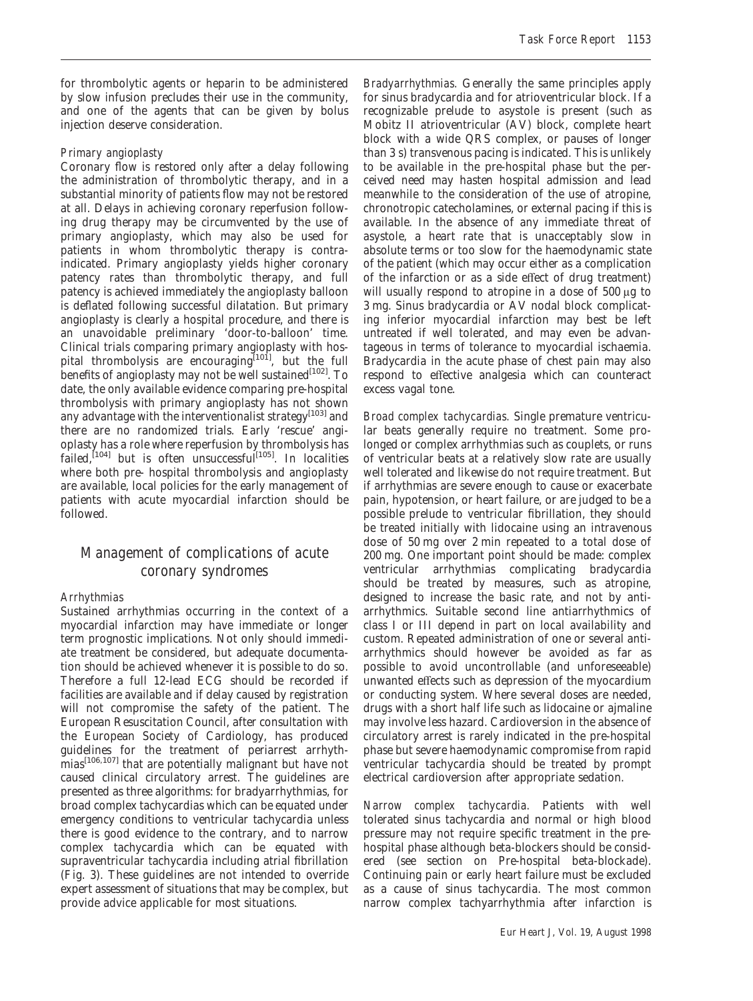for thrombolytic agents or heparin to be administered by slow infusion precludes their use in the community, and one of the agents that can be given by bolus injection deserve consideration.

### *Primary angioplasty*

Coronary flow is restored only after a delay following the administration of thrombolytic therapy, and in a substantial minority of patients flow may not be restored at all. Delays in achieving coronary reperfusion following drug therapy may be circumvented by the use of primary angioplasty, which may also be used for patients in whom thrombolytic therapy is contraindicated. Primary angioplasty yields higher coronary patency rates than thrombolytic therapy, and full patency is achieved immediately the angioplasty balloon is deflated following successful dilatation. But primary angioplasty is clearly a hospital procedure, and there is an unavoidable preliminary 'door-to-balloon' time. Clinical trials comparing primary angioplasty with hospital thrombolysis are encouraging $[101]$ , but the full benefits of angioplasty may not be well sustained<sup>[102]</sup>. To date, the only available evidence comparing pre-hospital thrombolysis with primary angioplasty has not shown any advantage with the interventionalist strategy<sup>[103]</sup> and there are no randomized trials. Early 'rescue' angioplasty has a role where reperfusion by thrombolysis has  $failed$ ,  $[104]$  but is often unsuccessful<sup> $[105]$ </sup>. In localities where both pre- hospital thrombolysis and angioplasty are available, local policies for the early management of patients with acute myocardial infarction should be followed.

# *Management of complications of acute coronary syndromes*

### *Arrhythmias*

Sustained arrhythmias occurring in the context of a myocardial infarction may have immediate or longer term prognostic implications. Not only should immediate treatment be considered, but adequate documentation should be achieved whenever it is possible to do so. Therefore a full 12-lead ECG should be recorded if facilities are available and if delay caused by registration will not compromise the safety of the patient. The European Resuscitation Council, after consultation with the European Society of Cardiology, has produced guidelines for the treatment of periarrest arrhythmias<sup>[106,107]</sup> that are potentially malignant but have not caused clinical circulatory arrest. The guidelines are presented as three algorithms: for bradyarrhythmias, for broad complex tachycardias which can be equated under emergency conditions to ventricular tachycardia unless there is good evidence to the contrary, and to narrow complex tachycardia which can be equated with supraventricular tachycardia including atrial fibrillation (Fig. 3). These guidelines are not intended to override expert assessment of situations that may be complex, but provide advice applicable for most situations.

*Bradyarrhythmias.* Generally the same principles apply for sinus bradycardia and for atrioventricular block. If a recognizable prelude to asystole is present (such as Mobitz II atrioventricular (AV) block, complete heart block with a wide QRS complex, or pauses of longer than 3 s) transvenous pacing is indicated. This is unlikely to be available in the pre-hospital phase but the perceived need may hasten hospital admission and lead meanwhile to the consideration of the use of atropine, chronotropic catecholamines, or external pacing if this is available. In the absence of any immediate threat of asystole, a heart rate that is unacceptably slow in absolute terms or too slow for the haemodynamic state of the patient (which may occur either as a complication of the infarction or as a side effect of drug treatment) will usually respond to atropine in a dose of  $500 \mu g$  to 3 mg. Sinus bradycardia or AV nodal block complicating inferior myocardial infarction may best be left untreated if well tolerated, and may even be advantageous in terms of tolerance to myocardial ischaemia. Bradycardia in the acute phase of chest pain may also respond to effective analgesia which can counteract excess vagal tone.

*Broad complex tachycardias.* Single premature ventricular beats generally require no treatment. Some prolonged or complex arrhythmias such as couplets, or runs of ventricular beats at a relatively slow rate are usually well tolerated and likewise do not require treatment. But if arrhythmias are severe enough to cause or exacerbate pain, hypotension, or heart failure, or are judged to be a possible prelude to ventricular fibrillation, they should be treated initially with lidocaine using an intravenous dose of 50 mg over 2 min repeated to a total dose of 200 mg. One important point should be made: complex ventricular arrhythmias complicating bradycardia should be treated by measures, such as atropine, designed to increase the basic rate, and not by antiarrhythmics. Suitable second line antiarrhythmics of class I or III depend in part on local availability and custom. Repeated administration of one or several antiarrhythmics should however be avoided as far as possible to avoid uncontrollable (and unforeseeable) unwanted effects such as depression of the myocardium or conducting system. Where several doses are needed, drugs with a short half life such as lidocaine or ajmaline may involve less hazard. Cardioversion in the absence of circulatory arrest is rarely indicated in the pre-hospital phase but severe haemodynamic compromise from rapid ventricular tachycardia should be treated by prompt electrical cardioversion after appropriate sedation.

*Narrow complex tachycardia.* Patients with well tolerated sinus tachycardia and normal or high blood pressure may not require specific treatment in the prehospital phase although beta-blockers should be considered (see section on Pre-hospital beta-blockade). Continuing pain or early heart failure must be excluded as a cause of sinus tachycardia. The most common narrow complex tachyarrhythmia after infarction is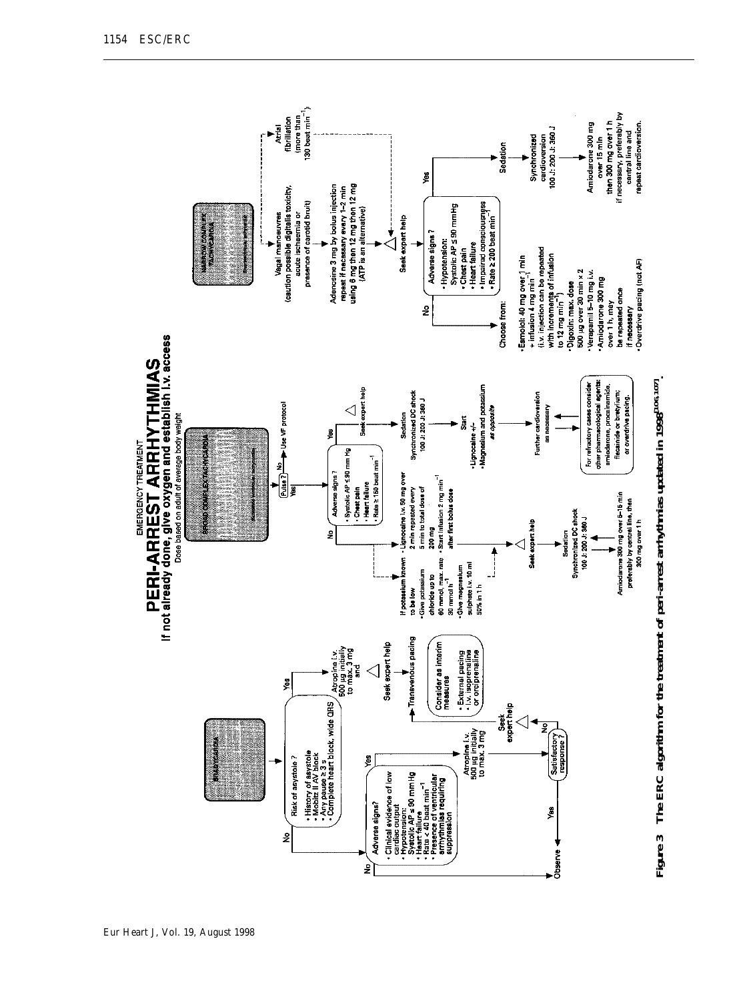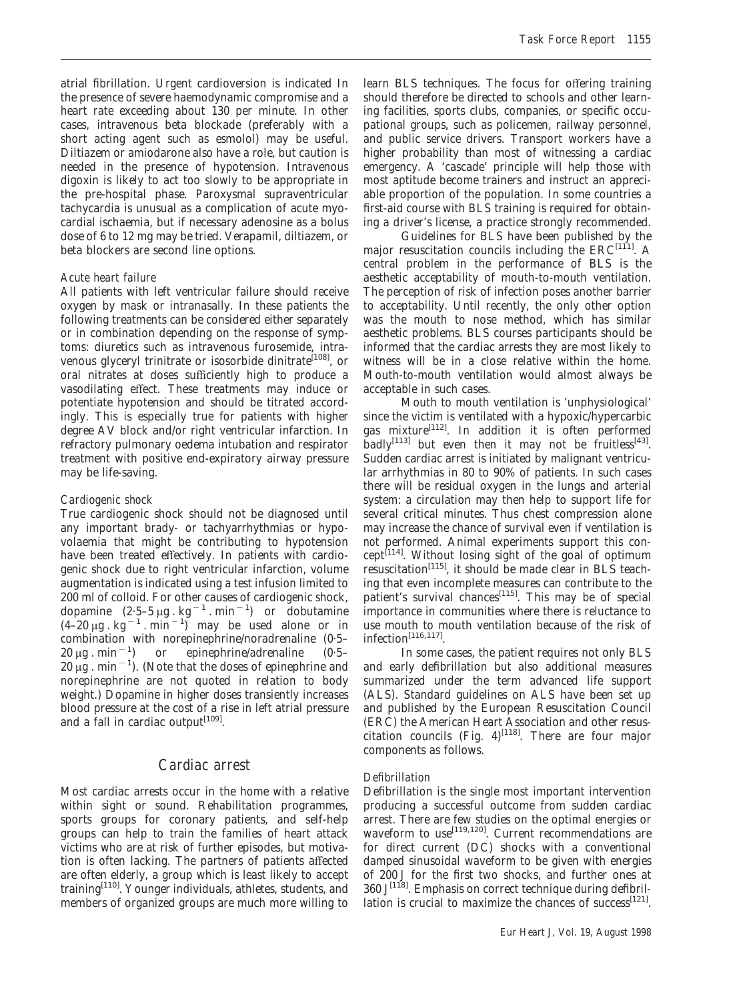atrial fibrillation. Urgent cardioversion is indicated In the presence of severe haemodynamic compromise and a heart rate exceeding about 130 per minute. In other cases, intravenous beta blockade (preferably with a short acting agent such as esmolol) may be useful. Diltiazem or amiodarone also have a role, but caution is needed in the presence of hypotension. Intravenous digoxin is likely to act too slowly to be appropriate in the pre-hospital phase. Paroxysmal supraventricular tachycardia is unusual as a complication of acute myocardial ischaemia, but if necessary adenosine as a bolus dose of 6 to 12 mg may be tried. Verapamil, diltiazem, or beta blockers are second line options.

#### *Acute heart failure*

All patients with left ventricular failure should receive oxygen by mask or intranasally. In these patients the following treatments can be considered either separately or in combination depending on the response of symptoms: diuretics such as intravenous furosemide, intravenous glyceryl trinitrate or isosorbide dinitrate<sup>[108]</sup>, or oral nitrates at doses sufficiently high to produce a vasodilating effect. These treatments may induce or potentiate hypotension and should be titrated accordingly. This is especially true for patients with higher degree AV block and/or right ventricular infarction. In refractory pulmonary oedema intubation and respirator treatment with positive end-expiratory airway pressure may be life-saving.

#### *Cardiogenic shock*

True cardiogenic shock should not be diagnosed until any important brady- or tachyarrhythmias or hypovolaemia that might be contributing to hypotension have been treated effectively. In patients with cardiogenic shock due to right ventricular infarction, volume augmentation is indicated using a test infusion limited to 200 ml of colloid. For other causes of cardiogenic shock, dopamine  $(2.5-5 \mu g \cdot kg^{-1} \cdot min^{-1})$  or dobutamine  $(4-20 \mu g \cdot \text{kg}^{-1} \cdot \text{min}^{-1})$  may be used alone or in combination with norepinephrine/noradrenaline (0·5–  $20 \mu$ g . min<sup>-1</sup>) or epinephrine/adrenaline (0.5–  $20 \mu g$ . min<sup>-1</sup>). (Note that the doses of epinephrine and norepinephrine are not quoted in relation to body weight.) Dopamine in higher doses transiently increases blood pressure at the cost of a rise in left atrial pressure and a fall in cardiac output $[109]$ .

### *Cardiac arrest*

Most cardiac arrests occur in the home with a relative within sight or sound. Rehabilitation programmes, sports groups for coronary patients, and self-help groups can help to train the families of heart attack victims who are at risk of further episodes, but motivation is often lacking. The partners of patients affected are often elderly, a group which is least likely to accept training<sup>[110]</sup>. Younger individuals, athletes, students, and members of organized groups are much more willing to

learn BLS techniques. The focus for offering training should therefore be directed to schools and other learning facilities, sports clubs, companies, or specific occupational groups, such as policemen, railway personnel, and public service drivers. Transport workers have a higher probability than most of witnessing a cardiac emergency. A 'cascade' principle will help those with most aptitude become trainers and instruct an appreciable proportion of the population. In some countries a first-aid course with BLS training is required for obtaining a driver's license, a practice strongly recommended.

Guidelines for BLS have been published by the major resuscitation councils including the  $ERC^{[111]}$ . A central problem in the performance of BLS is the aesthetic acceptability of mouth-to-mouth ventilation. The perception of risk of infection poses another barrier to acceptability. Until recently, the only other option was the mouth to nose method, which has similar aesthetic problems. BLS courses participants should be informed that the cardiac arrests they are most likely to witness will be in a close relative within the home. Mouth-to-mouth ventilation would almost always be acceptable in such cases.

Mouth to mouth ventilation is 'unphysiological' since the victim is ventilated with a hypoxic/hypercarbic gas mixture<sup>[112]</sup>. In addition it is often performed badly<sup>[113]</sup> but even then it may not be fruitless<sup>[43]</sup>. Sudden cardiac arrest is initiated by malignant ventricular arrhythmias in 80 to 90% of patients. In such cases there will be residual oxygen in the lungs and arterial system: a circulation may then help to support life for several critical minutes. Thus chest compression alone may increase the chance of survival even if ventilation is *not* performed. Animal experiments support this con $cept<sup>[114]</sup>$ . Without losing sight of the goal of optimum resuscitation<sup>[115]</sup>, it should be made clear in BLS teaching that even incomplete measures can contribute to the patient's survival chances<sup>[115]</sup>. This may be of special importance in communities where there is reluctance to use mouth to mouth ventilation because of the risk of  $inflection^{[116,117]}$ 

In some cases, the patient requires not only BLS and early defibrillation but also additional measures summarized under the term advanced life support (ALS). Standard guidelines on ALS have been set up and published by the European Resuscitation Council (ERC) the American Heart Association and other resuscitation councils (Fig.  $4$ )<sup>[118]</sup>. There are four major components as follows.

### *Defibrillation*

Defibrillation is the single most important intervention producing a successful outcome from sudden cardiac arrest. There are few studies on the optimal energies or waveform to use<sup>[119,120]</sup>. Current recommendations are for direct current (DC) shocks with a conventional damped sinusoidal waveform to be given with energies of 200 J for the first two shocks, and further ones at 360  $J^{[118]}$ . Emphasis on correct technique during defibrillation is crucial to maximize the chances of success<sup>[121]</sup>.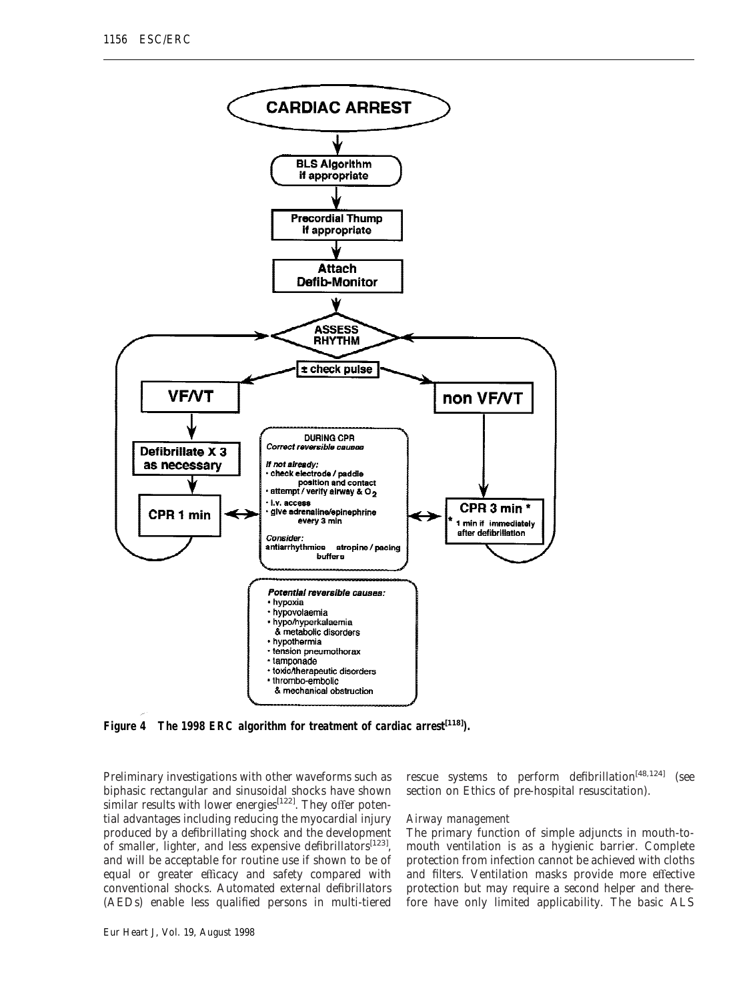

*Figure 4* The 1998 ERC algorithm for treatment of cardiac arrest<sup>[118]</sup>).

Preliminary investigations with other waveforms such as biphasic rectangular and sinusoidal shocks have shown similar results with lower energies<sup> $[122]$ </sup>. They offer potential advantages including reducing the myocardial injury produced by a defibrillating shock and the development of smaller, lighter, and less expensive defibrillators<sup>[123]</sup>, and will be acceptable for routine use if shown to be of equal or greater efficacy and safety compared with conventional shocks. Automated external defibrillators (AEDs) enable less qualified persons in multi-tiered rescue systems to perform defibrillation<sup>[48,124]</sup> (see section on Ethics of pre-hospital resuscitation).

### *Airway management*

The primary function of simple adjuncts in mouth-tomouth ventilation is as a hygienic barrier. Complete protection from infection cannot be achieved with cloths and filters. Ventilation masks provide more effective protection but may require a second helper and therefore have only limited applicability. The basic ALS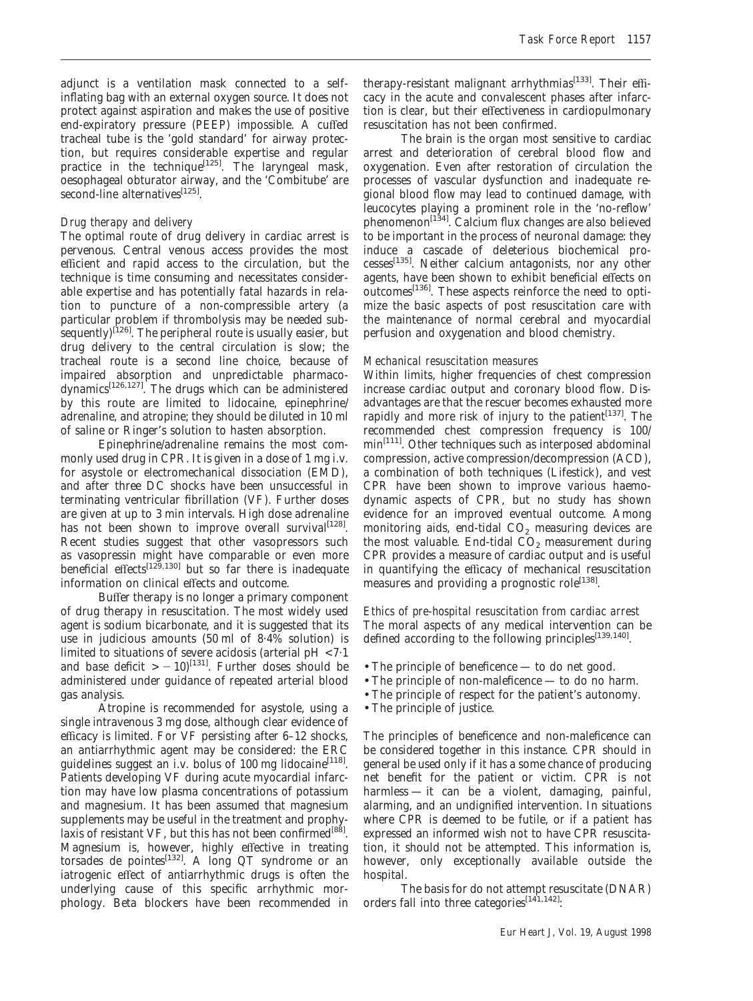adjunct is a ventilation mask connected to a selfinflating bag with an external oxygen source. It does not protect against aspiration and makes the use of positive end-expiratory pressure (PEEP) impossible. A cuffed tracheal tube is the 'gold standard' for airway protection, but requires considerable expertise and regular practice in the technique<sup>[125]</sup>. The laryngeal mask, oesophageal obturator airway, and the 'Combitube' are second-line alternatives $[125]$ .

### *Drug therapy and delivery*

The optimal route of drug delivery in cardiac arrest is pervenous. Central venous access provides the most efficient and rapid access to the circulation, but the technique is time consuming and necessitates considerable expertise and has potentially fatal hazards in relation to puncture of a non-compressible artery (a particular problem if thrombolysis may be needed subsequently)<sup>[126]</sup>. The peripheral route is usually easier, but drug delivery to the central circulation is slow; the tracheal route is a second line choice, because of impaired absorption and unpredictable pharmacodynamics<sup>[126,127]</sup>. The drugs which can be administered by this route are limited to lidocaine, epinephrine/ adrenaline, and atropine; they should be diluted in 10 ml of saline or Ringer's solution to hasten absorption.

Epinephrine/adrenaline remains the most commonly used drug in CPR. It is given in a dose of 1 mg i.v. for asystole or electromechanical dissociation (EMD), and after three DC shocks have been unsuccessful in terminating ventricular fibrillation (VF). Further doses are given at up to 3 min intervals. High dose adrenaline has not been shown to improve overall survival<sup>[128]</sup>. Recent studies suggest that other vasopressors such as vasopressin might have comparable or even more beneficial effects<sup>[129,130]</sup> but so far there is inadequate information on clinical effects and outcome.

Buffer therapy is no longer a primary component of drug therapy in resuscitation. The most widely used agent is sodium bicarbonate, and it is suggested that its use in judicious amounts (50 ml of 8·4% solution) is limited to situations of severe acidosis (arterial pH <7·1 and base deficit  $> -10$ <sup>[131]</sup>. Further doses should be administered under guidance of repeated arterial blood gas analysis.

Atropine is recommended for asystole, using a single intravenous 3 mg dose, although clear evidence of efficacy is limited. For VF persisting after 6–12 shocks, an antiarrhythmic agent may be considered: the ERC guidelines suggest an i.v. bolus of 100 mg lidocaine<sup>[118]</sup>. Patients developing VF during acute myocardial infarction may have low plasma concentrations of potassium and magnesium. It has been assumed that magnesium supplements may be useful in the treatment and prophylaxis of resistant VF, but this has not been confirmed<sup>[88]</sup>. Magnesium is, however, highly effective in treating torsades de pointes $^{[132]}$ . A long QT syndrome or an iatrogenic effect of antiarrhythmic drugs is often the underlying cause of this specific arrhythmic morphology. Beta blockers have been recommended in

therapy-resistant malignant arrhythmias<sup>[133]</sup>. Their efficacy in the acute and convalescent phases after infarction is clear, but their effectiveness in cardiopulmonary resuscitation has not been confirmed.

The brain is the organ most sensitive to cardiac arrest and deterioration of cerebral blood flow and oxygenation. Even after restoration of circulation the processes of vascular dysfunction and inadequate regional blood flow may lead to continued damage, with leucocytes playing a prominent role in the 'no-reflow' phenomenon<sup>[134]</sup>. Calcium flux changes are also believed to be important in the process of neuronal damage: they induce a cascade of deleterious biochemical processes<sup>[135]</sup>. Neither calcium antagonists, nor any other agents, have been shown to exhibit beneficial effects on  $outcomes<sup>[136]</sup>$ . These aspects reinforce the need to optimize the basic aspects of post resuscitation care with the maintenance of normal cerebral and myocardial perfusion and oxygenation and blood chemistry.

#### *Mechanical resuscitation measures*

Within limits, higher frequencies of chest compression increase cardiac output and coronary blood flow. Disadvantages are that the rescuer becomes exhausted more rapidly and more risk of injury to the patient<sup>[137]</sup>. The recommended chest compression frequency is 100/  $min<sup>[111]</sup>$ . Other techniques such as interposed abdominal compression, active compression/decompression (ACD), a combination of both techniques (Lifestick), and vest CPR have been shown to improve various haemodynamic aspects of CPR, but no study has shown evidence for an improved eventual outcome. Among monitoring aids, end-tidal  $CO<sub>2</sub>$  measuring devices are the most valuable. End-tidal CO<sub>2</sub> measurement during CPR provides a measure of cardiac output and is useful in quantifying the efficacy of mechanical resuscitation measures and providing a prognostic role<sup>[138]</sup>.

*Ethics of pre-hospital resuscitation from cardiac arrest* The moral aspects of any medical intervention can be defined according to the following principles<sup>[139,140]</sup>.

- The principle of beneficence to do net good.
- The principle of non-maleficence to do no harm.
- The principle of respect for the patient's autonomy.
- The principle of justice.

The principles of beneficence and non-maleficence can be considered together in this instance. CPR should in general be used only if it has a some chance of producing net benefit for the patient or victim. CPR is not harmless — it can be a violent, damaging, painful, alarming, and an undignified intervention. In situations where CPR is deemed to be futile, or if a patient has expressed an informed wish not to have CPR resuscitation, it should not be attempted. This information is, however, only exceptionally available outside the hospital.

The basis for do not attempt resuscitate (DNAR) orders fall into three categories<sup>[141,142]</sup>: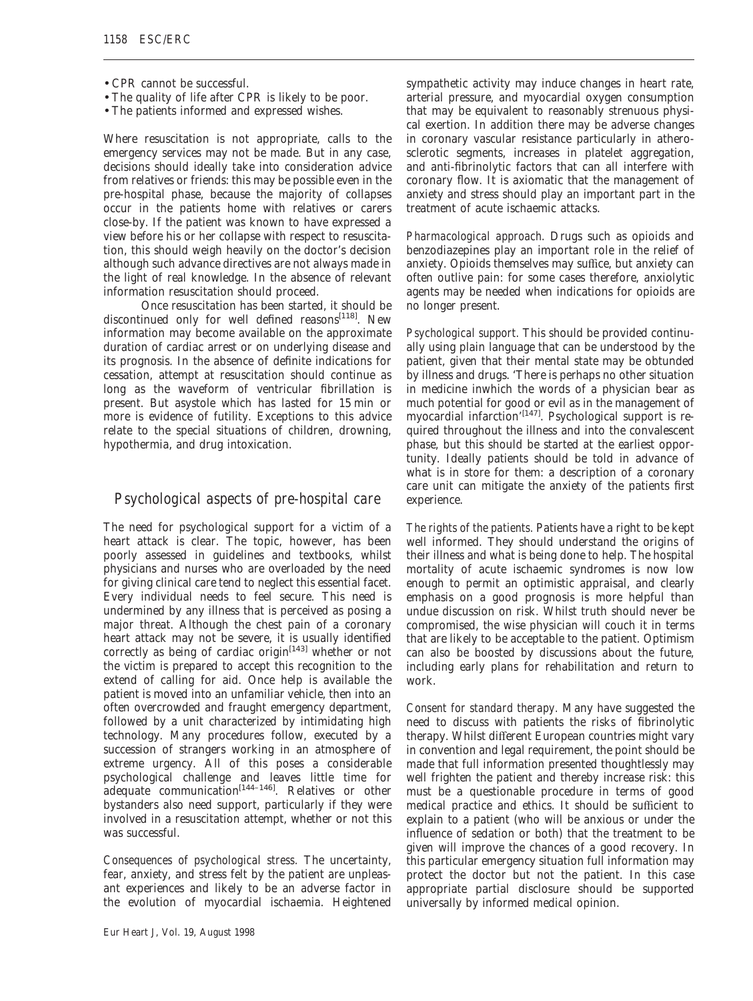- CPR cannot be successful.
- The quality of life after CPR is likely to be poor.
- The patients informed and expressed wishes.

Where resuscitation is not appropriate, calls to the emergency services may not be made. But in any case, decisions should ideally take into consideration advice from relatives or friends: this may be possible even in the pre-hospital phase, because the majority of collapses occur in the patients home with relatives or carers close-by. If the patient was known to have expressed a view before his or her collapse with respect to resuscitation, this should weigh heavily on the doctor's decision although such advance directives are not always made in the light of real knowledge. In the absence of relevant information resuscitation should proceed.

Once resuscitation has been started, it should be discontinued only for well defined reasons<sup>[118]</sup>. New information may become available on the approximate duration of cardiac arrest or on underlying disease and its prognosis. In the absence of definite indications for cessation, attempt at resuscitation should continue as long as the waveform of ventricular fibrillation is present. But asystole which has lasted for 15 min or more is evidence of futility. Exceptions to this advice relate to the special situations of children, drowning, hypothermia, and drug intoxication.

### *Psychological aspects of pre-hospital care*

The need for psychological support for a victim of a heart attack is clear. The topic, however, has been poorly assessed in guidelines and textbooks, whilst physicians and nurses who are overloaded by the need for giving clinical care tend to neglect this essential facet. Every individual needs to feel secure. This need is undermined by any illness that is perceived as posing a major threat. Although the chest pain of a coronary heart attack may not be severe, it is usually identified correctly as being of cardiac origin<sup>[143]</sup> whether or not the victim is prepared to accept this recognition to the extend of calling for aid. Once help is available the patient is moved into an unfamiliar vehicle, then into an often overcrowded and fraught emergency department, followed by a unit characterized by intimidating high technology. Many procedures follow, executed by a succession of strangers working in an atmosphere of extreme urgency. All of this poses a considerable psychological challenge and leaves little time for  $ad$ equate communication<sup>[144–146]</sup>. Relatives or other bystanders also need support, particularly if they were involved in a resuscitation attempt, whether or not this was successful.

*Consequences of psychological stress.* The uncertainty, fear, anxiety, and stress felt by the patient are unpleasant experiences and likely to be an adverse factor in the evolution of myocardial ischaemia. Heightened

sympathetic activity may induce changes in heart rate, arterial pressure, and myocardial oxygen consumption that may be equivalent to reasonably strenuous physical exertion. In addition there may be adverse changes in coronary vascular resistance particularly in atherosclerotic segments, increases in platelet aggregation, and anti-fibrinolytic factors that can all interfere with coronary flow. It is axiomatic that the management of anxiety and stress should play an important part in the treatment of acute ischaemic attacks.

*Pharmacological approach.* Drugs such as opioids and benzodiazepines play an important role in the relief of anxiety. Opioids themselves may suffice, but anxiety can often outlive pain: for some cases therefore, anxiolytic agents may be needed when indications for opioids are no longer present.

*Psychological support.* This should be provided continually using plain language that can be understood by the patient, given that their mental state may be obtunded by illness and drugs. 'There is perhaps no other situation in medicine inwhich the words of a physician bear as much potential for good or evil as in the management of myocardial infarction'<sup>[147]</sup>. Psychological support is required throughout the illness and into the convalescent phase, but this should be started at the earliest opportunity. Ideally patients should be told in advance of what is in store for them: a description of a coronary care unit can mitigate the anxiety of the patients first experience.

*The rights of the patients.* Patients have a right to be kept well informed. They should understand the origins of their illness and what is being done to help. The hospital mortality of acute ischaemic syndromes is now low enough to permit an optimistic appraisal, and clearly emphasis on a good prognosis is more helpful than undue discussion on risk. Whilst truth should never be compromised, the wise physician will couch it in terms that are likely to be acceptable to the patient. Optimism can also be boosted by discussions about the future, including early plans for rehabilitation and return to work.

*Consent for standard therapy.* Many have suggested the need to discuss with patients the risks of fibrinolytic therapy. Whilst different European countries might vary in convention and legal requirement, the point should be made that full information presented thoughtlessly may well frighten the patient and thereby increase risk: this must be a questionable procedure in terms of good medical practice and ethics. It should be sufficient to explain to a patient (who will be anxious or under the influence of sedation or both) that the treatment to be given will improve the chances of a good recovery. In this particular emergency situation full information may protect the doctor but not the patient. In this case appropriate partial disclosure should be supported universally by informed medical opinion.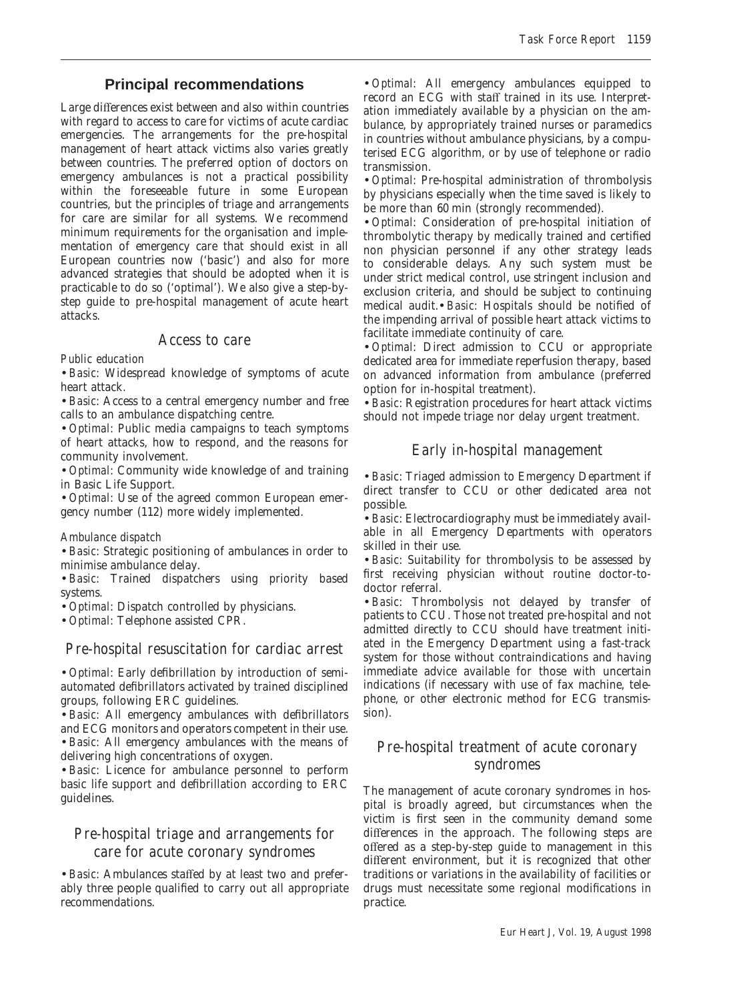### **Principal recommendations**

Large differences exist between and also within countries with regard to access to care for victims of acute cardiac emergencies. The arrangements for the pre-hospital management of heart attack victims also varies greatly between countries. The preferred option of doctors on emergency ambulances is not a practical possibility within the foreseeable future in some European countries, but the principles of triage and arrangements for care are similar for all systems. We recommend minimum requirements for the organisation and implementation of emergency care that should exist in all European countries now ('basic') and also for more advanced strategies that should be adopted when it is practicable to do so ('optimal'). We also give a step-bystep guide to pre-hospital management of acute heart attacks.

### *Access to care*

#### *Public education*

• *Basic*: Widespread knowledge of symptoms of acute heart attack.

• *Basic*: Access to a central emergency number and free calls to an ambulance dispatching centre.

• *Optimal*: Public media campaigns to teach symptoms of heart attacks, how to respond, and the reasons for community involvement.

• *Optimal*: Community wide knowledge of and training in Basic Life Support.

• *Optimal*: Use of the agreed common European emergency number (112) more widely implemented.

### *Ambulance dispatch*

• *Basic*: Strategic positioning of ambulances in order to minimise ambulance delay.

• *Basic*: Trained dispatchers using priority based systems.

• *Optimal*: Dispatch controlled by physicians.

• *Optimal*: Telephone assisted CPR.

### *Pre-hospital resuscitation for cardiac arrest*

• *Optimal*: Early defibrillation by introduction of semiautomated defibrillators activated by trained disciplined groups, following ERC guidelines.

• *Basic*: All emergency ambulances with defibrillators and ECG monitors and operators competent in their use.

• *Basic*: All emergency ambulances with the means of delivering high concentrations of oxygen.

• *Basic*: Licence for ambulance personnel to perform basic life support and defibrillation according to ERC guidelines.

## *Pre-hospital triage and arrangements for care for acute coronary syndromes*

• *Basic*: Ambulances staffed by at least two and preferably three people qualified to carry out all appropriate recommendations.

• *Optimal*: All emergency ambulances equipped to record an ECG with staff trained in its use. Interpretation immediately available by a physician on the ambulance, by appropriately trained nurses or paramedics in countries without ambulance physicians, by a computerised ECG algorithm, or by use of telephone or radio transmission.

• *Optimal*: Pre-hospital administration of thrombolysis by physicians especially when the time saved is likely to be more than 60 min (strongly recommended).

• *Optimal*: Consideration of pre-hospital initiation of thrombolytic therapy by medically trained and certified non physician personnel if any other strategy leads to considerable delays. Any such system must be under strict medical control, use stringent inclusion and exclusion criteria, and should be subject to continuing medical audit.• *Basic*: Hospitals should be notified of the impending arrival of possible heart attack victims to facilitate immediate continuity of care.

• *Optimal*: Direct admission to CCU or appropriate dedicated area for immediate reperfusion therapy, based on advanced information from ambulance (preferred option for in-hospital treatment).

• *Basic*: Registration procedures for heart attack victims should not impede triage nor delay urgent treatment.

### *Early in-hospital management*

• *Basic*: Triaged admission to Emergency Department if direct transfer to CCU or other dedicated area not possible.

• *Basic*: Electrocardiography must be immediately available in all Emergency Departments with operators skilled in their use.

• *Basic*: Suitability for thrombolysis to be assessed by first receiving physician without routine doctor-todoctor referral.

• *Basic*: Thrombolysis not delayed by transfer of patients to CCU. Those not treated pre-hospital and not admitted directly to CCU should have treatment initiated in the Emergency Department using a fast-track system for those without contraindications and having immediate advice available for those with uncertain indications (if necessary with use of fax machine, telephone, or other electronic method for ECG transmission).

# *Pre-hospital treatment of acute coronary syndromes*

The management of acute coronary syndromes in hospital is broadly agreed, but circumstances when the victim is first seen in the community demand some differences in the approach. The following steps are offered as a step-by-step guide to management in this different environment, but it is recognized that other traditions or variations in the availability of facilities or drugs must necessitate some regional modifications in practice.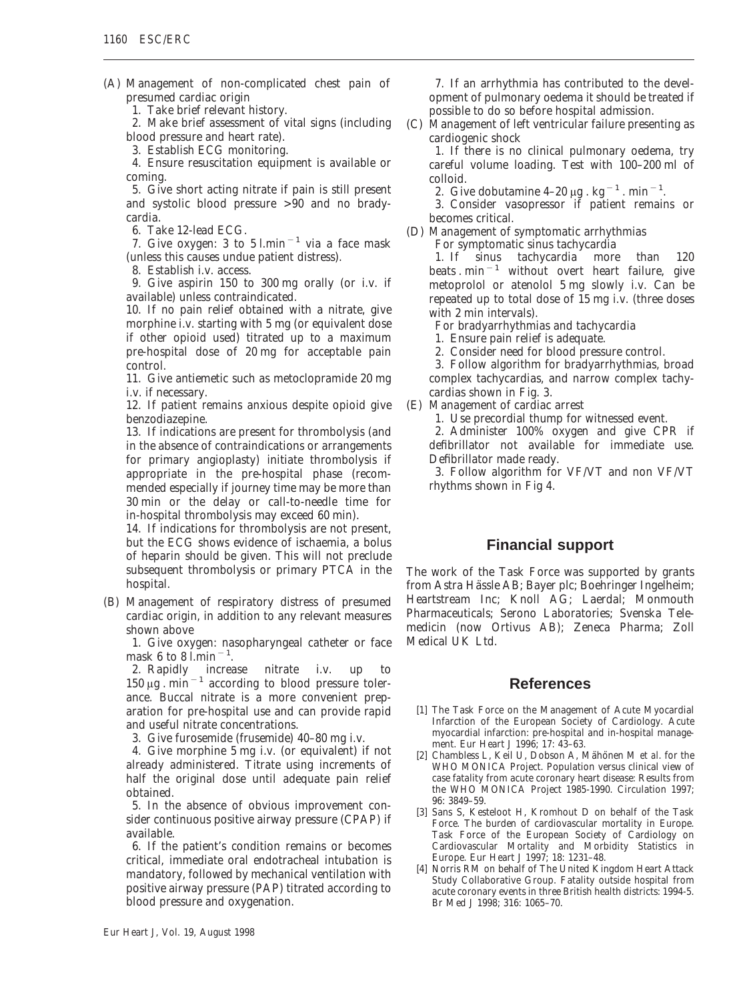(A) Management of non-complicated chest pain of presumed cardiac origin

1. Take brief relevant history.

2. Make brief assessment of vital signs (including blood pressure and heart rate).

3. Establish ECG monitoring.

4. Ensure resuscitation equipment is available or coming.

5. Give short acting nitrate if pain is still present and systolic blood pressure >90 and no bradycardia.

6. Take 12-lead ECG.

7. Give oxygen: 3 to  $5 \text{ l.min}^{-1}$  via a face mask (unless this causes undue patient distress).

8. Establish i.v. access.

9. Give aspirin 150 to 300 mg orally (or i.v. if available) unless contraindicated.

10. If no pain relief obtained with a nitrate, give morphine i.v. starting with 5 mg (or equivalent dose if other opioid used) titrated up to a maximum pre-hospital dose of 20 mg for acceptable pain control.

11. Give antiemetic such as metoclopramide 20 mg i.v. if necessary.

12. If patient remains anxious despite opioid give benzodiazepine.

13. If indications are present for thrombolysis (and in the absence of contraindications or arrangements for primary angioplasty) initiate thrombolysis if appropriate in the pre-hospital phase (recommended especially if journey time may be more than 30 min or the delay or call-to-needle time for in-hospital thrombolysis may exceed 60 min).

14. If indications for thrombolysis are not present, but the ECG shows evidence of ischaemia, a bolus of heparin should be given. This will not preclude subsequent thrombolysis or primary PTCA in the hospital.

(B) Management of respiratory distress of presumed cardiac origin, in addition to any relevant measures shown above

1. Give oxygen: nasopharyngeal catheter or face mask 6 to 8 l.min $^{-1}$ .

2. Rapidly increase nitrate i.v. up to  $150 \mu g \cdot min^{-1}$  according to blood pressure tolerance. Buccal nitrate is a more convenient preparation for pre-hospital use and can provide rapid and useful nitrate concentrations.

3. Give furosemide (frusemide) 40–80 mg i.v.

4. Give morphine 5 mg i.v. (or equivalent) if not already administered. Titrate using increments of half the original dose until adequate pain relief obtained.

5. In the absence of obvious improvement consider continuous positive airway pressure (CPAP) if available.

6. If the patient's condition remains or becomes critical, immediate oral endotracheal intubation is mandatory, followed by mechanical ventilation with positive airway pressure (PAP) titrated according to blood pressure and oxygenation.

7. If an arrhythmia has contributed to the development of pulmonary oedema it should be treated if possible to do so before hospital admission.

(C) Management of left ventricular failure presenting as cardiogenic shock

1. If there is no clinical pulmonary oedema, try careful volume loading. Test with 100–200 ml of colloid.

2. Give dobutamine  $4-20 \mu g$  . kg<sup>-1</sup> . min<sup>-1</sup>.

3. Consider vasopressor if patient remains or becomes critical.

(D) Management of symptomatic arrhythmias

For symptomatic sinus tachycardia

1. If sinus tachycardia more than 120 beats .  $min^{-1}$  without overt heart failure, give metoprolol or atenolol 5 mg slowly i.v. Can be repeated up to total dose of 15 mg i.v. (three doses with 2 min intervals).

For bradyarrhythmias and tachycardia

1. Ensure pain relief is adequate.

2. Consider need for blood pressure control.

3. Follow algorithm for bradyarrhythmias, broad complex tachycardias, and narrow complex tachycardias shown in Fig. 3.

(E) Management of cardiac arrest

1. Use precordial thump for witnessed event.

2. Administer 100% oxygen and give CPR if defibrillator not available for immediate use. Defibrillator made ready.

3. Follow algorithm for VF/VT and non VF/VT rhythms shown in Fig 4.

### **Financial support**

The work of the Task Force was supported by grants from Astra Hässle AB; Bayer plc; Boehringer Ingelheim; Heartstream Inc; Knoll AG; Laerdal; Monmouth Pharmaceuticals; Serono Laboratories; Svenska Telemedicin (now Ortivus AB); Zeneca Pharma; Zoll Medical UK Ltd.

### **References**

- [1] The Task Force on the Management of Acute Myocardial Infarction of the European Society of Cardiology. Acute myocardial infarction: pre-hospital and in-hospital management. Eur Heart J 1996; 17: 43–63.
- [2] Chambless L, Keil U, Dobson A, Mähönen M et al. for the WHO MONICA Project. Population versus clinical view of case fatality from acute coronary heart disease: Results from the WHO MONICA Project 1985-1990. Circulation 1997; 96: 3849–59.
- [3] Sans S, Kesteloot H, Kromhout D on behalf of the Task Force. The burden of cardiovascular mortality in Europe. Task Force of the European Society of Cardiology on Cardiovascular Mortality and Morbidity Statistics in Europe. Eur Heart J 1997; 18: 1231–48.
- [4] Norris RM on behalf of The United Kingdom Heart Attack Study Collaborative Group. Fatality outside hospital from acute coronary events in three British health districts: 1994-5. Br Med J 1998; 316: 1065–70.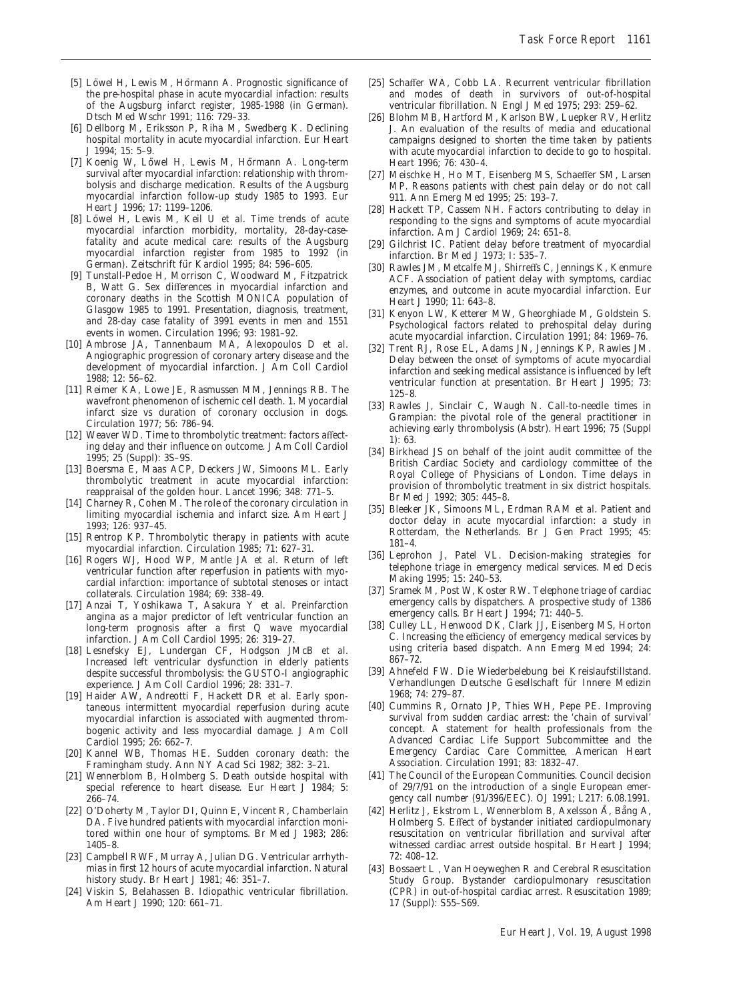- [5] Löwel H, Lewis M, Hörmann A. Prognostic significance of the pre-hospital phase in acute myocardial infaction: results of the Augsburg infarct register, 1985-1988 (in German). Dtsch Med Wschr 1991; 116: 729–33.
- [6] Dellborg M, Eriksson P, Riha M, Swedberg K. Declining hospital mortality in acute myocardial infarction. Eur Heart J 1994; 15: 5–9.
- [7] Koenig W, Löwel H, Lewis M, Hörmann A. Long-term survival after myocardial infarction: relationship with thrombolysis and discharge medication. Results of the Augsburg myocardial infarction follow-up study 1985 to 1993. Eur Heart J 1996; 17: 1199–1206.
- [8] Löwel H, Lewis M, Keil U et al. Time trends of acute myocardial infarction morbidity, mortality, 28-day-casefatality and acute medical care: results of the Augsburg myocardial infarction register from 1985 to 1992 (in German). Zeitschrift für Kardiol 1995; 84: 596-605.
- [9] Tunstall-Pedoe H, Morrison C, Woodward M, Fitzpatrick B, Watt G. Sex differences in myocardial infarction and coronary deaths in the Scottish MONICA population of Glasgow 1985 to 1991. Presentation, diagnosis, treatment, and 28-day case fatality of 3991 events in men and 1551 events in women. Circulation 1996; 93: 1981–92.
- [10] Ambrose JA, Tannenbaum MA, Alexopoulos D *et al*. Angiographic progression of coronary artery disease and the development of myocardial infarction. J Am Coll Cardiol  $1988 \cdot 12 \cdot 56 - 62$
- [11] Reimer KA, Lowe JE, Rasmussen MM, Jennings RB. The wavefront phenomenon of ischemic cell death. 1. Myocardial infarct size vs duration of coronary occlusion in dogs. Circulation 1977; 56: 786–94.
- [12] Weaver WD. Time to thrombolytic treatment: factors affecting delay and their influence on outcome. J Am Coll Cardiol 1995; 25 (Suppl): 3S–9S.
- [13] Boersma E, Maas ACP, Deckers JW, Simoons ML. Early thrombolytic treatment in acute myocardial infarction: reappraisal of the golden hour. Lancet 1996; 348: 771–5.
- [14] Charney R, Cohen M. The role of the coronary circulation in limiting myocardial ischemia and infarct size. Am Heart J 1993; 126: 937–45.
- [15] Rentrop KP. Thrombolytic therapy in patients with acute myocardial infarction. Circulation 1985; 71: 627–31.
- [16] Rogers WJ, Hood WP, Mantle JA *et al*. Return of left ventricular function after reperfusion in patients with myocardial infarction: importance of subtotal stenoses or intact collaterals. Circulation 1984; 69: 338–49.
- [17] Anzai T, Yoshikawa T, Asakura Y *et al*. Preinfarction angina as a major predictor of left ventricular function an long-term prognosis after a first Q wave myocardial infarction. J Am Coll Cardiol 1995; 26: 319–27.
- [18] Lesnefsky EJ, Lundergan CF, Hodgson JMcB *et al*. Increased left ventricular dysfunction in elderly patients despite successful thrombolysis: the GUSTO-I angiographic experience. J Am Coll Cardiol 1996; 28: 331–7.
- [19] Haider AW, Andreotti F, Hackett DR *et al*. Early spontaneous intermittent myocardial reperfusion during acute myocardial infarction is associated with augmented thrombogenic activity and less myocardial damage. J Am Coll Cardiol 1995; 26: 662–7.
- [20] Kannel WB, Thomas HE. Sudden coronary death: the Framingham study. Ann NY Acad Sci 1982; 382: 3–21.
- [21] Wennerblom B, Holmberg S. Death outside hospital with special reference to heart disease. Eur Heart J 1984; 5: 266–74.
- [22] O'Doherty M, Taylor DI, Quinn E, Vincent R, Chamberlain DA. Five hundred patients with myocardial infarction monitored within one hour of symptoms. Br Med J 1983; 286: 1405–8.
- [23] Campbell RWF, Murray A, Julian DG. Ventricular arrhythmias in first 12 hours of acute myocardial infarction. Natural history study. Br Heart J 1981; 46: 351–7.
- [24] Viskin S, Belahassen B. Idiopathic ventricular fibrillation. Am Heart J 1990; 120: 661–71.
- [25] Schaffer WA, Cobb LA. Recurrent ventricular fibrillation and modes of death in survivors of out-of-hospital ventricular fibrillation. N Engl J Med 1975; 293: 259–62.
- [26] Blohm MB, Hartford M, Karlson BW, Luepker RV, Herlitz J. An evaluation of the results of media and educational campaigns designed to shorten the time taken by patients with acute myocardial infarction to decide to go to hospital. Heart 1996; 76: 430–4.
- [27] Meischke H, Ho MT, Eisenberg MS, Schaeffer SM, Larsen MP. Reasons patients with chest pain delay or do not call 911. Ann Emerg Med 1995; 25: 193–7.
- [28] Hackett TP, Cassem NH. Factors contributing to delay in responding to the signs and symptoms of acute myocardial infarction. Am J Cardiol 1969; 24: 651–8.
- [29] Gilchrist IC. Patient delay before treatment of myocardial infarction. Br Med J 1973; I: 535–7.
- [30] Rawles JM, Metcalfe MJ, Shirreffs C, Jennings K, Kenmure ACF. Association of patient delay with symptoms, cardiac enzymes, and outcome in acute myocardial infarction. Eur Heart J 1990; 11: 643–8.
- [31] Kenyon LW, Ketterer MW, Gheorghiade M, Goldstein S. Psychological factors related to prehospital delay during acute myocardial infarction. Circulation 1991; 84: 1969–76.
- [32] Trent RJ, Rose EL, Adams JN, Jennings KP, Rawles JM. Delay between the onset of symptoms of acute myocardial infarction and seeking medical assistance is influenced by left ventricular function at presentation. Br Heart J 1995; 73: 125–8.
- [33] Rawles J, Sinclair C, Waugh N. Call-to-needle times in Grampian: the pivotal role of the general practitioner in achieving early thrombolysis (Abstr). Heart 1996; 75 (Suppl 1): 63.
- [34] Birkhead JS on behalf of the joint audit committee of the British Cardiac Society and cardiology committee of the Royal College of Physicians of London. Time delays in provision of thrombolytic treatment in six district hospitals. Br Med J 1992; 305: 445–8.
- [35] Bleeker JK, Simoons ML, Erdman RAM *et al*. Patient and doctor delay in acute myocardial infarction: a study in Rotterdam, the Netherlands. Br J Gen Pract 1995; 45: 181–4.
- [36] Leprohon J, Patel VL. Decision-making strategies for telephone triage in emergency medical services. Med Decis Making 1995; 15: 240–53.
- [37] Sramek M, Post W, Koster RW. Telephone triage of cardiac emergency calls by dispatchers. A prospective study of 1386 emergency calls. Br Heart J 1994; 71: 440–5.
- [38] Culley LL, Henwood DK, Clark JJ, Eisenberg MS, Horton C. Increasing the efficiency of emergency medical services by using criteria based dispatch. Ann Emerg Med 1994; 24: 867–72.
- [39] Ahnefeld FW. Die Wiederbelebung bei Kreislaufstillstand. Verhandlungen Deutsche Gesellschaft für Innere Medizin 1968; 74: 279–87.
- [40] Cummins R, Ornato JP, Thies WH, Pepe PE. Improving survival from sudden cardiac arrest: the 'chain of survival' concept. A statement for health professionals from the Advanced Cardiac Life Support Subcommittee and the Emergency Cardiac Care Committee, American Heart Association. Circulation 1991; 83: 1832–47.
- [41] The Council of the European Communities. Council decision of 29/7/91 on the introduction of a single European emergency call number (91/396/EEC). OJ 1991; L217: 6.08.1991.
- [42] Herlitz J, Ekstrom L, Wennerblom B, Axelsson Å, Bång A, Holmberg S. Effect of bystander initiated cardiopulmonary resuscitation on ventricular fibrillation and survival after witnessed cardiac arrest outside hospital. Br Heart J 1994; 72: 408–12.
- [43] Bossaert L , Van Hoeyweghen R and Cerebral Resuscitation Study Group. Bystander cardiopulmonary resuscitation (CPR) in out-of-hospital cardiac arrest. Resuscitation 1989; 17 (Suppl): S55–S69.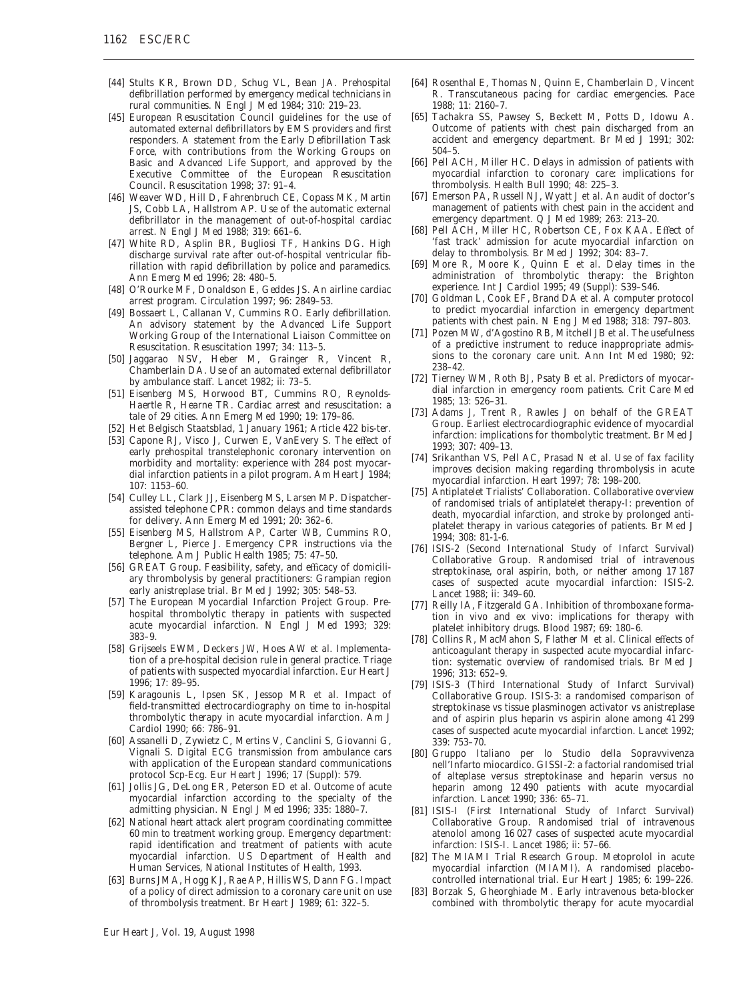- [44] Stults KR, Brown DD, Schug VL, Bean JA. Prehospital defibrillation performed by emergency medical technicians in rural communities. N Engl J Med 1984; 310: 219–23.
- [45] European Resuscitation Council guidelines for the use of automated external defibrillators by EMS providers and first responders. A statement from the Early Defibrillation Task Force, with contributions from the Working Groups on Basic and Advanced Life Support, and approved by the Executive Committee of the European Resuscitation Council. Resuscitation 1998; 37: 91–4.
- [46] Weaver WD, Hill D, Fahrenbruch CE, Copass MK, Martin JS, Cobb LA, Hallstrom AP. Use of the automatic external defibrillator in the management of out-of-hospital cardiac arrest. N Engl J Med 1988; 319: 661–6.
- [47] White RD, Asplin BR, Bugliosi TF, Hankins DG. High discharge survival rate after out-of-hospital ventricular fibrillation with rapid defibrillation by police and paramedics. Ann Emerg Med 1996; 28: 480–5.
- [48] O'Rourke MF, Donaldson E, Geddes JS. An airline cardiac arrest program. Circulation 1997; 96: 2849–53.
- [49] Bossaert L, Callanan V, Cummins RO. Early defibrillation. An advisory statement by the Advanced Life Support Working Group of the International Liaison Committee on Resuscitation. Resuscitation 1997; 34: 113–5.
- [50] Jaggarao NSV, Heber M, Grainger R, Vincent R, Chamberlain DA. Use of an automated external defibrillator by ambulance staff. Lancet 1982; ii: 73–5.
- [51] Eisenberg MS, Horwood BT, Cummins RO, Reynolds-Haertle R, Hearne TR. Cardiac arrest and resuscitation: a tale of 29 cities. Ann Emerg Med 1990; 19: 179–86.
- [52] Het Belgisch Staatsblad, 1 January 1961; Article 422 bis-ter. [53] Capone RJ, Visco J, Curwen E, VanEvery S. The effect of
- early prehospital transtelephonic coronary intervention on morbidity and mortality: experience with 284 post myocardial infarction patients in a pilot program. Am Heart J 1984; 107: 1153–60.
- [54] Culley LL, Clark JJ, Eisenberg MS, Larsen MP. Dispatcherassisted telephone CPR: common delays and time standards for delivery. Ann Emerg Med 1991; 20: 362–6.
- [55] Eisenberg MS, Hallstrom AP, Carter WB, Cummins RO, Bergner L, Pierce J. Emergency CPR instructions via the telephone. Am J Public Health 1985; 75: 47–50.
- [56] GREAT Group. Feasibility, safety, and efficacy of domiciliary thrombolysis by general practitioners: Grampian region early anistreplase trial. Br Med J 1992; 305: 548–53.
- [57] The European Myocardial Infarction Project Group. Prehospital thrombolytic therapy in patients with suspected acute myocardial infarction. N Engl J Med 1993; 329: 383–9.
- [58] Grijseels EWM, Deckers JW, Hoes AW *et al*. Implementation of a pre-hospital decision rule in general practice. Triage of patients with suspected myocardial infarction. Eur Heart J 1996; 17: 89–95.
- [59] Karagounis L, Ipsen SK, Jessop MR *et al*. Impact of field-transmitted electrocardiography on time to in-hospital thrombolytic therapy in acute myocardial infarction. Am J Cardiol 1990; 66: 786–91.
- [60] Assanelli D, Zywietz C, Mertins V, Canclini S, Giovanni G, Vignali S. Digital ECG transmission from ambulance cars with application of the European standard communications protocol Scp-Ecg. Eur Heart J 1996; 17 (Suppl): 579.
- [61] Jollis JG, DeLong ER, Peterson ED *et al*. Outcome of acute myocardial infarction according to the specialty of the admitting physician. N Engl J Med 1996; 335: 1880–7.
- [62] National heart attack alert program coordinating committee 60 min to treatment working group. Emergency department: rapid identification and treatment of patients with acute myocardial infarction. US Department of Health and Human Services, National Institutes of Health, 1993.
- [63] Burns JMA, Hogg KJ, Rae AP, Hillis WS, Dann FG. Impact of a policy of direct admission to a coronary care unit on use of thrombolysis treatment. Br Heart J 1989; 61: 322–5.
- [64] Rosenthal E, Thomas N, Quinn E, Chamberlain D, Vincent R. Transcutaneous pacing for cardiac emergencies. Pace 1988; 11: 2160–7.
- [65] Tachakra SS, Pawsey S, Beckett M, Potts D, Idowu A. Outcome of patients with chest pain discharged from an accident and emergency department. Br Med J 1991; 302: 504–5.
- [66] Pell ACH, Miller HC. Delays in admission of patients with myocardial infarction to coronary care: implications for thrombolysis. Health Bull 1990; 48: 225–3.
- [67] Emerson PA, Russell NJ, Wyatt J *et al*. An audit of doctor's management of patients with chest pain in the accident and emergency department. Q J Med 1989; 263: 213–20.
- [68] Pell ACH, Miller HC, Robertson CE, Fox KAA. Effect of 'fast track' admission for acute myocardial infarction on delay to thrombolysis. Br Med J 1992; 304: 83-7.
- [69] More R, Moore K, Quinn E *et al*. Delay times in the administration of thrombolytic therapy: the Brighton experience. Int J Cardiol 1995; 49 (Suppl): S39–S46.
- [70] Goldman L, Cook EF, Brand DA *et al*. A computer protocol to predict myocardial infarction in emergency department patients with chest pain. N Eng J Med 1988; 318: 797–803.
- [71] Pozen MW, d'Agostino RB, Mitchell JB *et al*. The usefulness of a predictive instrument to reduce inappropriate admissions to the coronary care unit. Ann Int Med 1980; 92: 238–42.
- [72] Tierney WM, Roth BJ, Psaty B *et al*. Predictors of myocardial infarction in emergency room patients. Crit Care Med 1985; 13: 526–31.
- [73] Adams J, Trent R, Rawles J on behalf of the GREAT Group. Earliest electrocardiographic evidence of myocardial infarction: implications for thombolytic treatment. Br Med J 1993; 307: 409–13.
- [74] Srikanthan VS, Pell AC, Prasad N *et al*. Use of fax facility improves decision making regarding thrombolysis in acute myocardial infarction. Heart 1997; 78: 198–200.
- [75] Antiplatelet Trialists' Collaboration. Collaborative overview of randomised trials of antiplatelet therapy-I: prevention of death, myocardial infarction, and stroke by prolonged antiplatelet therapy in various categories of patients. Br Med J 1994; 308: 81-1-6.
- [76] ISIS-2 (Second International Study of Infarct Survival) Collaborative Group. Randomised trial of intravenous streptokinase, oral aspirin, both, or neither among 17 187 cases of suspected acute myocardial infarction: ISIS-2. Lancet 1988; ii: 349–60.
- [77] Reilly IA, Fitzgerald GA. Inhibition of thromboxane formation in vivo and ex vivo: implications for therapy with platelet inhibitory drugs. Blood 1987; 69: 180–6.
- [78] Collins R, MacMahon S, Flather M *et al*. Clinical effects of anticoagulant therapy in suspected acute myocardial infarction: systematic overview of randomised trials. Br Med J 1996; 313: 652–9.
- [79] ISIS-3 (Third International Study of Infarct Survival) Collaborative Group. ISIS-3: a randomised comparison of streptokinase vs tissue plasminogen activator vs anistreplase and of aspirin plus heparin vs aspirin alone among 41 299 cases of suspected acute myocardial infarction. Lancet 1992; 339: 753–70.
- [80] Gruppo Italiano per lo Studio della Sopravvivenza nell'Infarto miocardico. GISSI-2: a factorial randomised trial of alteplase versus streptokinase and heparin versus no heparin among 12 490 patients with acute myocardial infarction. Lancet 1990; 336: 65–71.
- [81] ISIS-I (First International Study of Infarct Survival) Collaborative Group. Randomised trial of intravenous atenolol among 16 027 cases of suspected acute myocardial infarction: ISIS-I. Lancet 1986; ii: 57–66.
- [82] The MIAMI Trial Research Group. Metoprolol in acute myocardial infarction (MIAMI). A randomised placebocontrolled international trial. Eur Heart J 1985; 6: 199–226.
- [83] Borzak S, Gheorghiade M. Early intravenous beta-blocker combined with thrombolytic therapy for acute myocardial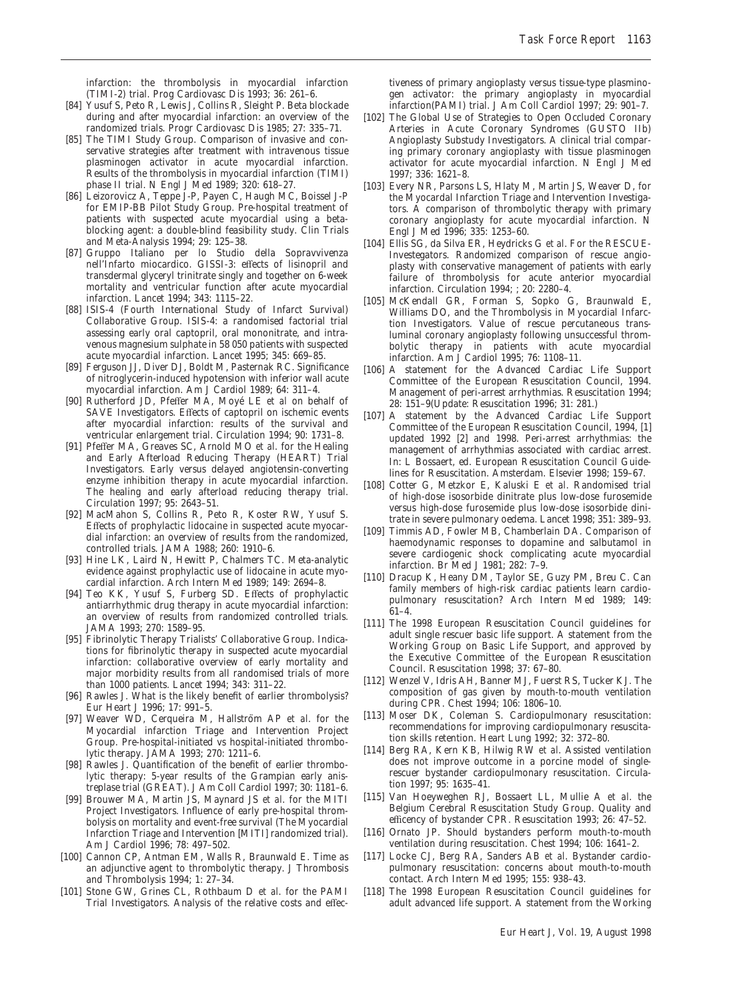infarction: the thrombolysis in myocardial infarction (TIMI-2) trial. Prog Cardiovasc Dis 1993; 36: 261–6.

- [84] Yusuf S, Peto R, Lewis J, Collins R, Sleight P. Beta blockade during and after myocardial infarction: an overview of the randomized trials. Progr Cardiovasc Dis 1985; 27: 335–71.
- [85] The TIMI Study Group. Comparison of invasive and conservative strategies after treatment with intravenous tissue plasminogen activator in acute myocardial infarction. Results of the thrombolysis in myocardial infarction (TIMI) phase II trial. N Engl J Med 1989; 320: 618–27.
- [86] Leizorovicz A, Teppe J-P, Payen C, Haugh MC, Boissel J-P for EMIP-BB Pilot Study Group. Pre-hospital treatment of patients with suspected acute myocardial using a betablocking agent: a double-blind feasibility study. Clin Trials and Meta-Analysis 1994; 29: 125–38.
- [87] Gruppo Italiano per lo Studio della Sopravvivenza nell'Infarto miocardico. GISSI-3: effects of lisinopril and transdermal glyceryl trinitrate singly and together on 6-week mortality and ventricular function after acute myocardial infarction. Lancet 1994; 343: 1115–22.
- [88] ISIS-4 (Fourth International Study of Infarct Survival) Collaborative Group. ISIS-4: a randomised factorial trial assessing early oral captopril, oral mononitrate, and intravenous magnesium sulphate in 58 050 patients with suspected acute myocardial infarction. Lancet 1995; 345: 669–85.
- [89] Ferguson JJ, Diver DJ, Boldt M, Pasternak RC. Significance of nitroglycerin-induced hypotension with inferior wall acute myocardial infarction. Am J Cardiol 1989; 64: 311–4.
- [90] Rutherford JD, Pfeffer MA, Moyé LE *et al* on behalf of SAVE Investigators. Effects of captopril on ischemic events after myocardial infarction: results of the survival and ventricular enlargement trial. Circulation 1994; 90: 1731–8.
- [91] Pfeffer MA, Greaves SC, Arnold MO *et al*. for the Healing and Early Afterload Reducing Therapy (HEART) Trial Investigators. Early versus delayed angiotensin-converting enzyme inhibition therapy in acute myocardial infarction. The healing and early afterload reducing therapy trial. Circulation 1997; 95: 2643–51.
- [92] MacMahon S, Collins R, Peto R, Koster RW, Yusuf S. Effects of prophylactic lidocaine in suspected acute myocardial infarction: an overview of results from the randomized, controlled trials. JAMA 1988; 260: 1910–6.
- [93] Hine LK, Laird N, Hewitt P, Chalmers TC. Meta-analytic evidence against prophylactic use of lidocaine in acute myocardial infarction. Arch Intern Med 1989; 149: 2694–8.
- [94] Teo KK, Yusuf S, Furberg SD. Effects of prophylactic antiarrhythmic drug therapy in acute myocardial infarction: an overview of results from randomized controlled trials. JAMA 1993; 270: 1589–95.
- [95] Fibrinolytic Therapy Trialists' Collaborative Group. Indications for fibrinolytic therapy in suspected acute myocardial infarction: collaborative overview of early mortality and major morbidity results from all randomised trials of more than 1000 patients. Lancet 1994; 343: 311–22.
- [96] Rawles J. What is the likely benefit of earlier thrombolysis? Eur Heart J 1996; 17: 991–5.
- [97] Weaver WD, Cerqueira M, Hallström AP *et al.* for the Myocardial infarction Triage and Intervention Project Group. Pre-hospital-initiated vs hospital-initiated thrombolytic therapy. JAMA 1993; 270: 1211–6.
- [98] Rawles J. Quantification of the benefit of earlier thrombolytic therapy: 5-year results of the Grampian early anistreplase trial (GREAT). J Am Coll Cardiol 1997; 30: 1181–6.
- [99] Brouwer MA, Martin JS, Maynard JS *et al*. for the MITI Project Investigators. Influence of early pre-hospital thrombolysis on mortality and event-free survival (The Myocardial Infarction Triage and Intervention [MITI] randomized trial). Am J Cardiol 1996; 78: 497–502.
- [100] Cannon CP, Antman EM, Walls R, Braunwald E. Time as an adjunctive agent to thrombolytic therapy. J Thrombosis and Thrombolysis 1994; 1: 27–34.
- [101] Stone GW, Grines CL, Rothbaum D *et al*. for the PAMI Trial Investigators. Analysis of the relative costs and effec-

tiveness of primary angioplasty versus tissue-type plasminogen activator: the primary angioplasty in myocardial infarction(PAMI) trial. J Am Coll Cardiol 1997; 29: 901–7.

- [102] The Global Use of Strategies to Open Occluded Coronary Arteries in Acute Coronary Syndromes (GUSTO IIb) Angioplasty Substudy Investigators. A clinical trial comparing primary coronary angioplasty with tissue plasminogen activator for acute myocardial infarction. N Engl J Med 1997; 336: 1621–8.
- [103] Every NR, Parsons LS, Hlaty M, Martin JS, Weaver D, for the Myocardal Infarction Triage and Intervention Investigators. A comparison of thrombolytic therapy with primary coronary angioplasty for acute myocardial infarction. N Engl J Med 1996; 335: 1253–60.
- [104] Ellis SG, da Silva ER, Heydricks G *et al*. For the RESCUE-Investegators. Randomized comparison of rescue angioplasty with conservative management of patients with early failure of thrombolysis for acute anterior myocardial infarction. Circulation 1994; ; 20: 2280–4.
- [105] McKendall GR, Forman S, Sopko G, Braunwald E, Williams DO, and the Thrombolysis in Myocardial Infarction Investigators. Value of rescue percutaneous transluminal coronary angioplasty following unsuccessful thrombolytic therapy in patients with acute myocardial infarction. Am J Cardiol 1995; 76: 1108–11.
- [106] A statement for the Advanced Cardiac Life Support Committee of the European Resuscitation Council, 1994. Management of peri-arrest arrhythmias. Resuscitation 1994; 28: 151–9(Update: Resuscitation 1996; 31: 281.)
- [107] A statement by the Advanced Cardiac Life Support Committee of the European Resuscitation Council, 1994, [1] updated 1992 [2] and 1998. Peri-arrest arrhythmias: the management of arrhythmias associated with cardiac arrest. In: L Bossaert, ed. European Resuscitation Council Guidelines for Resuscitation. Amsterdam. Elsevier 1998; 159–67.
- [108] Cotter G, Metzkor E, Kaluski E *et al*. Randomised trial of high-dose isosorbide dinitrate plus low-dose furosemide versus high-dose furosemide plus low-dose isosorbide dinitrate in severe pulmonary oedema. Lancet 1998; 351: 389–93.
- [109] Timmis AD, Fowler MB, Chamberlain DA. Comparison of haemodynamic responses to dopamine and salbutamol in severe cardiogenic shock complicating acute myocardial infarction. Br Med J 1981; 282: 7–9.
- [110] Dracup K, Heany DM, Taylor SE, Guzy PM, Breu C. Can family members of high-risk cardiac patients learn cardiopulmonary resuscitation? Arch Intern Med 1989; 149: 61–4.
- [111] The 1998 European Resuscitation Council guidelines for adult single rescuer basic life support. A statement from the Working Group on Basic Life Support, and approved by the Executive Committee of the European Resuscitation Council. Resuscitation 1998; 37: 67–80.
- [112] Wenzel V, Idris AH, Banner MJ, Fuerst RS, Tucker KJ. The composition of gas given by mouth-to-mouth ventilation during CPR. Chest 1994; 106: 1806–10.
- [113] Moser DK, Coleman S. Cardiopulmonary resuscitation: recommendations for improving cardiopulmonary resuscitation skills retention. Heart Lung 1992; 32: 372–80.
- [114] Berg RA, Kern KB, Hilwig RW *et al*. Assisted ventilation does not improve outcome in a porcine model of singlerescuer bystander cardiopulmonary resuscitation. Circulation 1997; 95: 1635–41.
- [115] Van Hoeyweghen RJ, Bossaert LL, Mullie A *et al*. the Belgium Cerebral Resuscitation Study Group. Quality and efficency of bystander CPR. Resuscitation 1993; 26: 47–52.
- [116] Ornato JP. Should bystanders perform mouth-to-mouth ventilation during resuscitation. Chest 1994; 106: 1641–2.
- [117] Locke CJ, Berg RA, Sanders AB *et al*. Bystander cardiopulmonary resuscitation: concerns about mouth-to-mouth contact. Arch Intern Med 1995; 155: 938–43.
- [118] The 1998 European Resuscitation Council guidelines for adult advanced life support. A statement from the Working